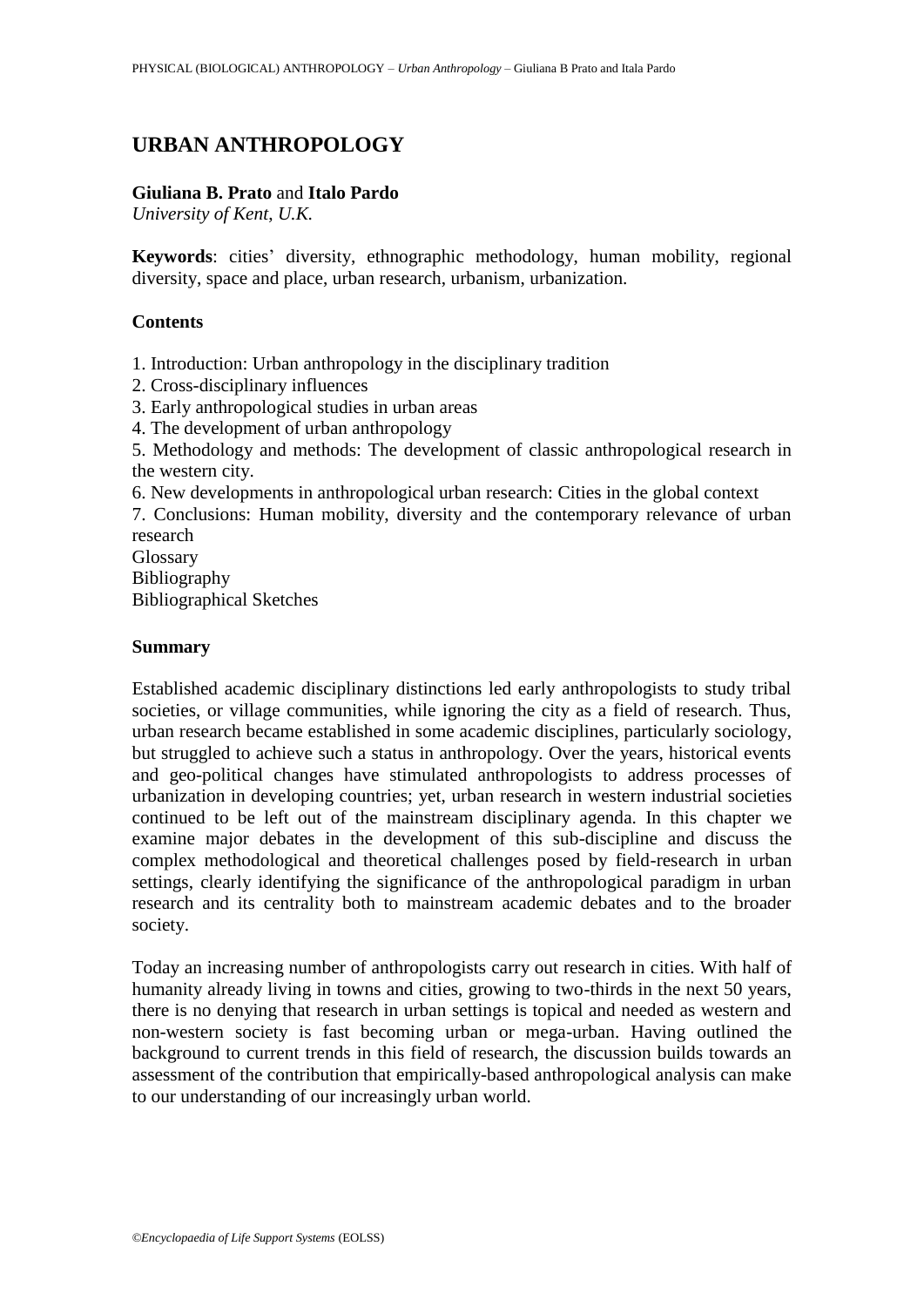# **URBAN ANTHROPOLOGY**

## **Giuliana B. Prato** and **Italo Pardo**

*University of Kent*, *U.K.*

**Keywords**: cities' diversity, ethnographic methodology, human mobility, regional diversity, space and place, urban research, urbanism, urbanization.

## **Contents**

1. Introduction: Urban anthropology in the disciplinary tradition

- 2. Cross-disciplinary influences
- 3. Early anthropological studies in urban areas
- 4. The development of urban anthropology

5. Methodology and methods: The development of classic anthropological research in the western city.

6. New developments in anthropological urban research: Cities in the global context

7. Conclusions: Human mobility, diversity and the contemporary relevance of urban research

Glossary Bibliography Bibliographical Sketches

## **Summary**

Established academic disciplinary distinctions led early anthropologists to study tribal societies, or village communities, while ignoring the city as a field of research. Thus, urban research became established in some academic disciplines, particularly sociology, but struggled to achieve such a status in anthropology. Over the years, historical events and geo-political changes have stimulated anthropologists to address processes of urbanization in developing countries; yet, urban research in western industrial societies continued to be left out of the mainstream disciplinary agenda. In this chapter we examine major debates in the development of this sub-discipline and discuss the complex methodological and theoretical challenges posed by field-research in urban settings, clearly identifying the significance of the anthropological paradigm in urban research and its centrality both to mainstream academic debates and to the broader society.

Today an increasing number of anthropologists carry out research in cities. With half of humanity already living in towns and cities, growing to two-thirds in the next 50 years, there is no denying that research in urban settings is topical and needed as western and non-western society is fast becoming urban or mega-urban. Having outlined the background to current trends in this field of research, the discussion builds towards an assessment of the contribution that empirically-based anthropological analysis can make to our understanding of our increasingly urban world.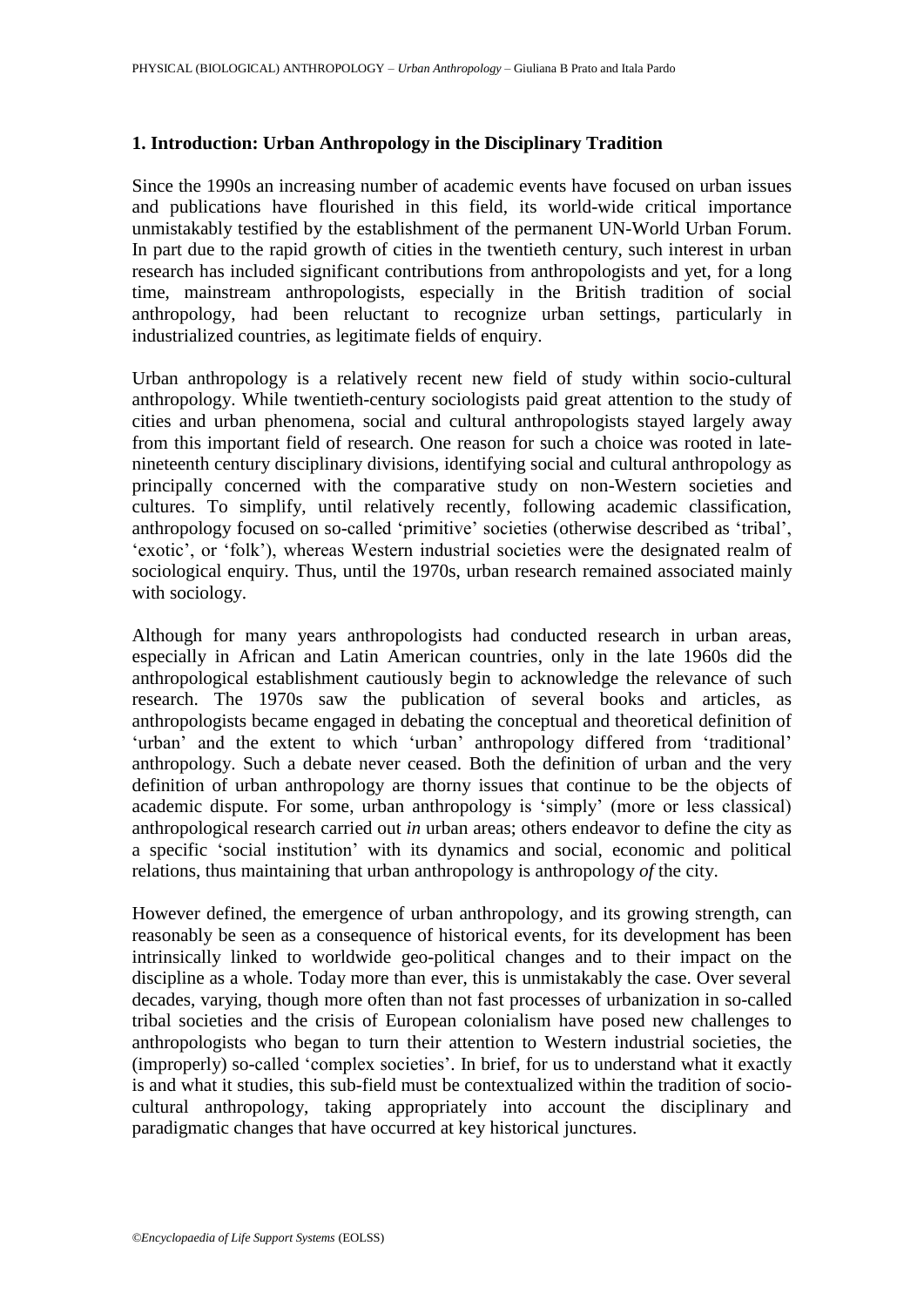## **1. Introduction: Urban Anthropology in the Disciplinary Tradition**

Since the 1990s an increasing number of academic events have focused on urban issues and publications have flourished in this field, its world-wide critical importance unmistakably testified by the establishment of the permanent UN-World Urban Forum. In part due to the rapid growth of cities in the twentieth century, such interest in urban research has included significant contributions from anthropologists and yet, for a long time, mainstream anthropologists, especially in the British tradition of social anthropology, had been reluctant to recognize urban settings, particularly in industrialized countries, as legitimate fields of enquiry.

Urban anthropology is a relatively recent new field of study within socio-cultural anthropology. While twentieth-century sociologists paid great attention to the study of cities and urban phenomena, social and cultural anthropologists stayed largely away from this important field of research. One reason for such a choice was rooted in latenineteenth century disciplinary divisions, identifying social and cultural anthropology as principally concerned with the comparative study on non-Western societies and cultures. To simplify, until relatively recently, following academic classification, anthropology focused on so-called 'primitive' societies (otherwise described as 'tribal', 'exotic', or 'folk'), whereas Western industrial societies were the designated realm of sociological enquiry. Thus, until the 1970s, urban research remained associated mainly with sociology.

Although for many years anthropologists had conducted research in urban areas, especially in African and Latin American countries, only in the late 1960s did the anthropological establishment cautiously begin to acknowledge the relevance of such research. The 1970s saw the publication of several books and articles, as anthropologists became engaged in debating the conceptual and theoretical definition of 'urban' and the extent to which 'urban' anthropology differed from 'traditional' anthropology. Such a debate never ceased. Both the definition of urban and the very definition of urban anthropology are thorny issues that continue to be the objects of academic dispute. For some, urban anthropology is 'simply' (more or less classical) anthropological research carried out *in* urban areas; others endeavor to define the city as a specific 'social institution' with its dynamics and social, economic and political relations, thus maintaining that urban anthropology is anthropology *of* the city.

However defined, the emergence of urban anthropology, and its growing strength, can reasonably be seen as a consequence of historical events, for its development has been intrinsically linked to worldwide geo-political changes and to their impact on the discipline as a whole. Today more than ever, this is unmistakably the case. Over several decades, varying, though more often than not fast processes of urbanization in so-called tribal societies and the crisis of European colonialism have posed new challenges to anthropologists who began to turn their attention to Western industrial societies, the (improperly) so-called 'complex societies'. In brief, for us to understand what it exactly is and what it studies, this sub-field must be contextualized within the tradition of sociocultural anthropology, taking appropriately into account the disciplinary and paradigmatic changes that have occurred at key historical junctures.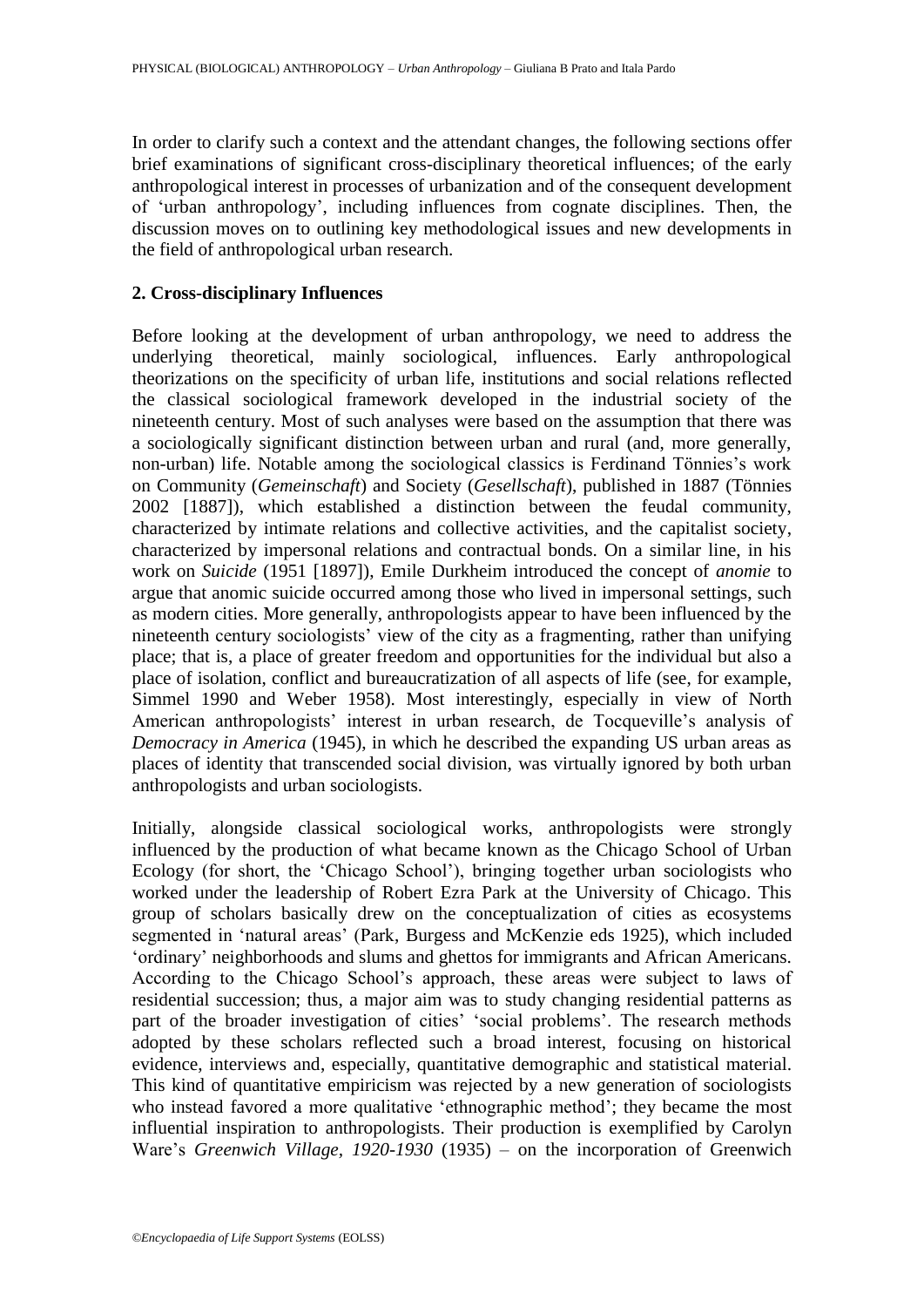In order to clarify such a context and the attendant changes, the following sections offer brief examinations of significant cross-disciplinary theoretical influences; of the early anthropological interest in processes of urbanization and of the consequent development of 'urban anthropology', including influences from cognate disciplines. Then, the discussion moves on to outlining key methodological issues and new developments in the field of anthropological urban research.

## **2. Cross-disciplinary Influences**

Before looking at the development of urban anthropology, we need to address the underlying theoretical, mainly sociological, influences. Early anthropological theorizations on the specificity of urban life, institutions and social relations reflected the classical sociological framework developed in the industrial society of the nineteenth century. Most of such analyses were based on the assumption that there was a sociologically significant distinction between urban and rural (and, more generally, non-urban) life. Notable among the sociological classics is Ferdinand Tönnies's work on Community (*Gemeinschaft*) and Society (*Gesellschaft*), published in 1887 (Tönnies 2002 [1887]), which established a distinction between the feudal community, characterized by intimate relations and collective activities, and the capitalist society, characterized by impersonal relations and contractual bonds. On a similar line, in his work on *Suicide* (1951 [1897]), Emile Durkheim introduced the concept of *anomie* to argue that anomic suicide occurred among those who lived in impersonal settings, such as modern cities. More generally, anthropologists appear to have been influenced by the nineteenth century sociologists' view of the city as a fragmenting, rather than unifying place; that is, a place of greater freedom and opportunities for the individual but also a place of isolation, conflict and bureaucratization of all aspects of life (see, for example, Simmel 1990 and Weber 1958). Most interestingly, especially in view of North American anthropologists' interest in urban research, de Tocqueville's analysis of *Democracy in America* (1945), in which he described the expanding US urban areas as places of identity that transcended social division, was virtually ignored by both urban anthropologists and urban sociologists.

Initially, alongside classical sociological works, anthropologists were strongly influenced by the production of what became known as the Chicago School of Urban Ecology (for short, the 'Chicago School'), bringing together urban sociologists who worked under the leadership of Robert Ezra Park at the University of Chicago. This group of scholars basically drew on the conceptualization of cities as ecosystems segmented in 'natural areas' (Park, Burgess and McKenzie eds 1925), which included 'ordinary' neighborhoods and slums and ghettos for immigrants and African Americans. According to the Chicago School's approach, these areas were subject to laws of residential succession; thus, a major aim was to study changing residential patterns as part of the broader investigation of cities' 'social problems'. The research methods adopted by these scholars reflected such a broad interest, focusing on historical evidence, interviews and, especially, quantitative demographic and statistical material. This kind of quantitative empiricism was rejected by a new generation of sociologists who instead favored a more qualitative 'ethnographic method'; they became the most influential inspiration to anthropologists. Their production is exemplified by Carolyn Ware's *Greenwich Village, 1920-1930* (1935) – on the incorporation of Greenwich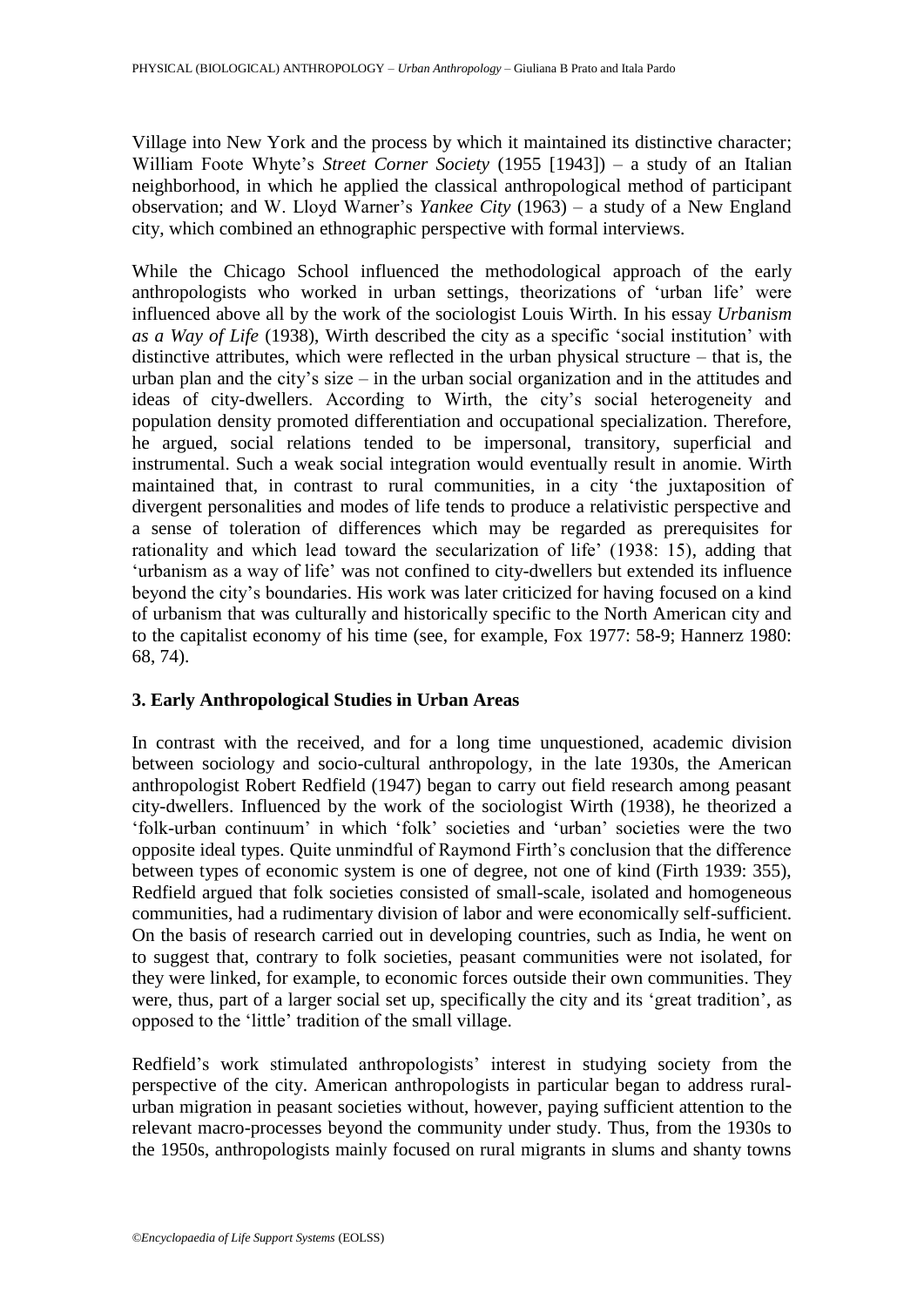Village into New York and the process by which it maintained its distinctive character; William Foote Whyte's *Street Corner Society* (1955 [1943]) – a study of an Italian neighborhood, in which he applied the classical anthropological method of participant observation; and W. Lloyd Warner's *Yankee City* (1963) – a study of a New England city, which combined an ethnographic perspective with formal interviews.

While the Chicago School influenced the methodological approach of the early anthropologists who worked in urban settings, theorizations of 'urban life' were influenced above all by the work of the sociologist Louis Wirth. In his essay *Urbanism as a Way of Life* (1938), Wirth described the city as a specific 'social institution' with distinctive attributes, which were reflected in the urban physical structure – that is, the urban plan and the city's size – in the urban social organization and in the attitudes and ideas of city-dwellers. According to Wirth, the city's social heterogeneity and population density promoted differentiation and occupational specialization. Therefore, he argued, social relations tended to be impersonal, transitory, superficial and instrumental. Such a weak social integration would eventually result in anomie. Wirth maintained that, in contrast to rural communities, in a city 'the juxtaposition of divergent personalities and modes of life tends to produce a relativistic perspective and a sense of toleration of differences which may be regarded as prerequisites for rationality and which lead toward the secularization of life' (1938: 15), adding that 'urbanism as a way of life' was not confined to city-dwellers but extended its influence beyond the city's boundaries. His work was later criticized for having focused on a kind of urbanism that was culturally and historically specific to the North American city and to the capitalist economy of his time (see, for example, Fox 1977: 58-9; Hannerz 1980: 68, 74).

## **3. Early Anthropological Studies in Urban Areas**

In contrast with the received, and for a long time unquestioned, academic division between sociology and socio-cultural anthropology, in the late 1930s, the American anthropologist Robert Redfield (1947) began to carry out field research among peasant city-dwellers. Influenced by the work of the sociologist Wirth (1938), he theorized a 'folk-urban continuum' in which 'folk' societies and 'urban' societies were the two opposite ideal types. Quite unmindful of Raymond Firth's conclusion that the difference between types of economic system is one of degree, not one of kind (Firth 1939: 355), Redfield argued that folk societies consisted of small-scale, isolated and homogeneous communities, had a rudimentary division of labor and were economically self-sufficient. On the basis of research carried out in developing countries, such as India, he went on to suggest that, contrary to folk societies, peasant communities were not isolated, for they were linked, for example, to economic forces outside their own communities. They were, thus, part of a larger social set up, specifically the city and its 'great tradition', as opposed to the 'little' tradition of the small village.

Redfield's work stimulated anthropologists' interest in studying society from the perspective of the city. American anthropologists in particular began to address ruralurban migration in peasant societies without, however, paying sufficient attention to the relevant macro-processes beyond the community under study. Thus, from the 1930s to the 1950s, anthropologists mainly focused on rural migrants in slums and shanty towns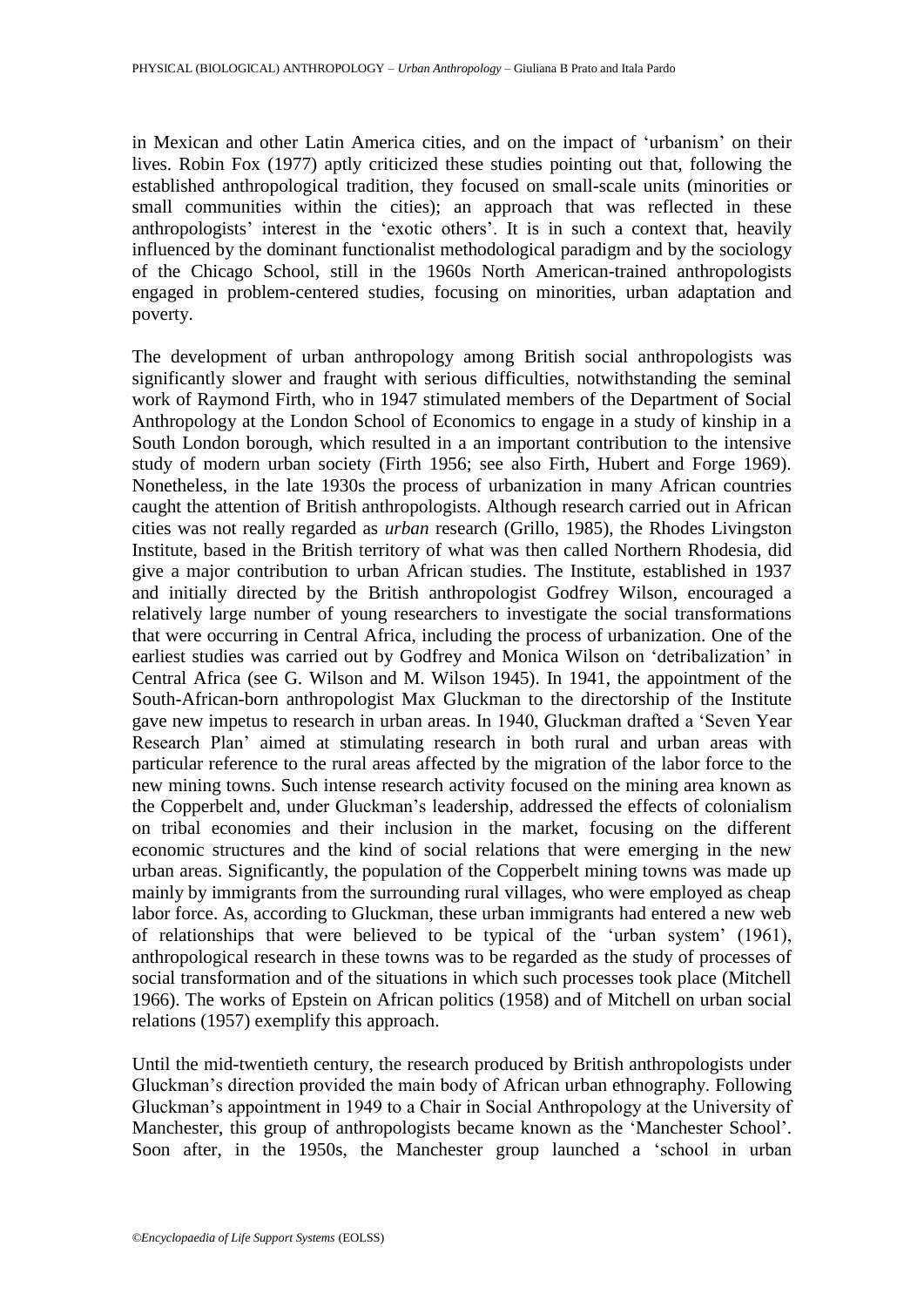in Mexican and other Latin America cities, and on the impact of 'urbanism' on their lives. Robin Fox (1977) aptly criticized these studies pointing out that, following the established anthropological tradition, they focused on small-scale units (minorities or small communities within the cities); an approach that was reflected in these anthropologists' interest in the 'exotic others'. It is in such a context that, heavily influenced by the dominant functionalist methodological paradigm and by the sociology of the Chicago School, still in the 1960s North American-trained anthropologists engaged in problem-centered studies, focusing on minorities, urban adaptation and poverty.

The development of urban anthropology among British social anthropologists was significantly slower and fraught with serious difficulties, notwithstanding the seminal work of Raymond Firth, who in 1947 stimulated members of the Department of Social Anthropology at the London School of Economics to engage in a study of kinship in a South London borough, which resulted in a an important contribution to the intensive study of modern urban society (Firth 1956; see also Firth, Hubert and Forge 1969). Nonetheless, in the late 1930s the process of urbanization in many African countries caught the attention of British anthropologists. Although research carried out in African cities was not really regarded as *urban* research (Grillo, 1985), the Rhodes Livingston Institute, based in the British territory of what was then called Northern Rhodesia, did give a major contribution to urban African studies. The Institute, established in 1937 and initially directed by the British anthropologist Godfrey Wilson, encouraged a relatively large number of young researchers to investigate the social transformations that were occurring in Central Africa, including the process of urbanization. One of the earliest studies was carried out by Godfrey and Monica Wilson on 'detribalization' in Central Africa (see G. Wilson and M. Wilson 1945). In 1941, the appointment of the South-African-born anthropologist Max Gluckman to the directorship of the Institute gave new impetus to research in urban areas. In 1940, Gluckman drafted a 'Seven Year Research Plan' aimed at stimulating research in both rural and urban areas with particular reference to the rural areas affected by the migration of the labor force to the new mining towns. Such intense research activity focused on the mining area known as the Copperbelt and, under Gluckman's leadership, addressed the effects of colonialism on tribal economies and their inclusion in the market, focusing on the different economic structures and the kind of social relations that were emerging in the new urban areas. Significantly, the population of the Copperbelt mining towns was made up mainly by immigrants from the surrounding rural villages, who were employed as cheap labor force. As, according to Gluckman, these urban immigrants had entered a new web of relationships that were believed to be typical of the 'urban system' (1961), anthropological research in these towns was to be regarded as the study of processes of social transformation and of the situations in which such processes took place (Mitchell 1966). The works of Epstein on African politics (1958) and of Mitchell on urban social relations (1957) exemplify this approach.

Until the mid-twentieth century, the research produced by British anthropologists under Gluckman's direction provided the main body of African urban ethnography. Following Gluckman's appointment in 1949 to a Chair in Social Anthropology at the University of Manchester, this group of anthropologists became known as the 'Manchester School'. Soon after, in the 1950s, the Manchester group launched a 'school in urban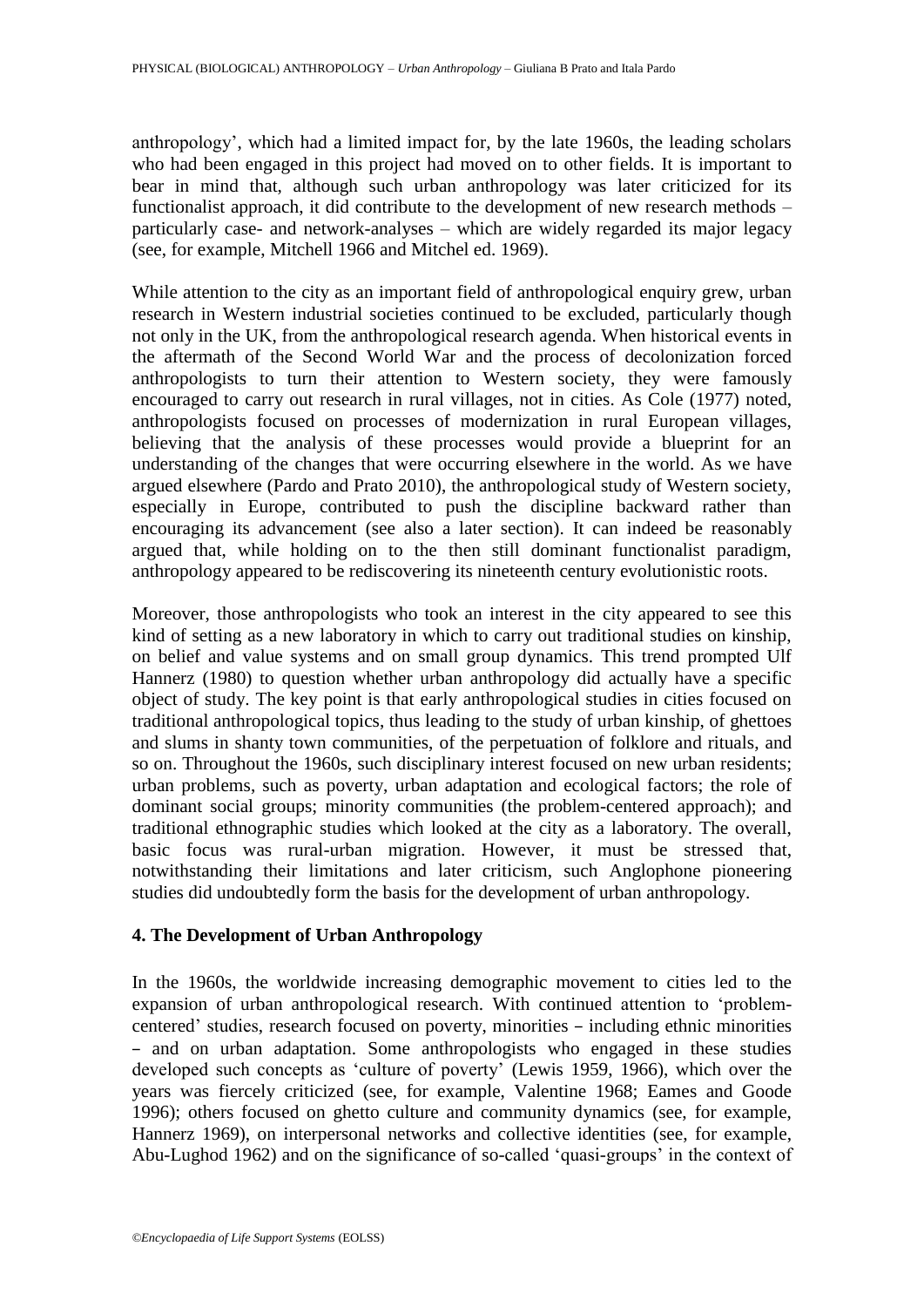anthropology', which had a limited impact for, by the late 1960s, the leading scholars who had been engaged in this project had moved on to other fields. It is important to bear in mind that, although such urban anthropology was later criticized for its functionalist approach, it did contribute to the development of new research methods – particularly case- and network-analyses – which are widely regarded its major legacy (see, for example, Mitchell 1966 and Mitchel ed. 1969).

While attention to the city as an important field of anthropological enquiry grew, urban research in Western industrial societies continued to be excluded, particularly though not only in the UK, from the anthropological research agenda. When historical events in the aftermath of the Second World War and the process of decolonization forced anthropologists to turn their attention to Western society, they were famously encouraged to carry out research in rural villages, not in cities. As Cole (1977) noted, anthropologists focused on processes of modernization in rural European villages, believing that the analysis of these processes would provide a blueprint for an understanding of the changes that were occurring elsewhere in the world. As we have argued elsewhere (Pardo and Prato 2010), the anthropological study of Western society, especially in Europe, contributed to push the discipline backward rather than encouraging its advancement (see also a later section). It can indeed be reasonably argued that, while holding on to the then still dominant functionalist paradigm, anthropology appeared to be rediscovering its nineteenth century evolutionistic roots.

Moreover, those anthropologists who took an interest in the city appeared to see this kind of setting as a new laboratory in which to carry out traditional studies on kinship, on belief and value systems and on small group dynamics. This trend prompted Ulf Hannerz (1980) to question whether urban anthropology did actually have a specific object of study. The key point is that early anthropological studies in cities focused on traditional anthropological topics, thus leading to the study of urban kinship, of ghettoes and slums in shanty town communities, of the perpetuation of folklore and rituals, and so on. Throughout the 1960s, such disciplinary interest focused on new urban residents; urban problems, such as poverty, urban adaptation and ecological factors; the role of dominant social groups; minority communities (the problem-centered approach); and traditional ethnographic studies which looked at the city as a laboratory. The overall, basic focus was rural-urban migration. However, it must be stressed that, notwithstanding their limitations and later criticism, such Anglophone pioneering studies did undoubtedly form the basis for the development of urban anthropology.

## **4. The Development of Urban Anthropology**

In the 1960s, the worldwide increasing demographic movement to cities led to the expansion of urban anthropological research. With continued attention to 'problemcentered' studies, research focused on poverty, minorities – including ethnic minorities – and on urban adaptation. Some anthropologists who engaged in these studies developed such concepts as 'culture of poverty' (Lewis 1959, 1966), which over the years was fiercely criticized (see, for example, Valentine 1968; Eames and Goode 1996); others focused on ghetto culture and community dynamics (see, for example, Hannerz 1969), on interpersonal networks and collective identities (see, for example, Abu-Lughod 1962) and on the significance of so-called 'quasi-groups' in the context of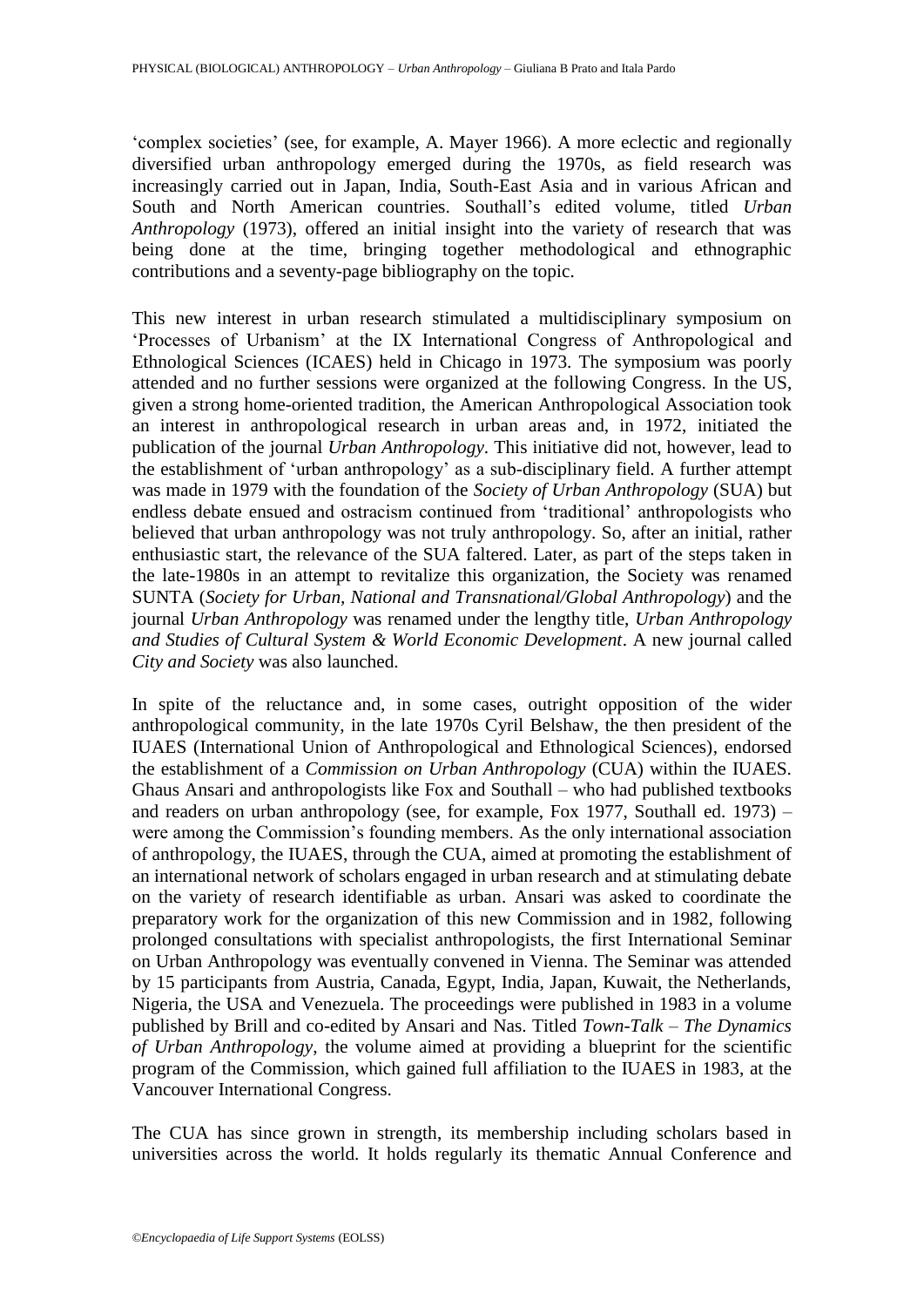'complex societies' (see, for example, A. Mayer 1966). A more eclectic and regionally diversified urban anthropology emerged during the 1970s, as field research was increasingly carried out in Japan, India, South-East Asia and in various African and South and North American countries. Southall's edited volume, titled *Urban Anthropology* (1973), offered an initial insight into the variety of research that was being done at the time, bringing together methodological and ethnographic contributions and a seventy-page bibliography on the topic.

This new interest in urban research stimulated a multidisciplinary symposium on 'Processes of Urbanism' at the IX International Congress of Anthropological and Ethnological Sciences (ICAES) held in Chicago in 1973. The symposium was poorly attended and no further sessions were organized at the following Congress. In the US, given a strong home-oriented tradition, the American Anthropological Association took an interest in anthropological research in urban areas and, in 1972, initiated the publication of the journal *Urban Anthropology*. This initiative did not, however, lead to the establishment of 'urban anthropology' as a sub-disciplinary field. A further attempt was made in 1979 with the foundation of the *Society of Urban Anthropology* (SUA) but endless debate ensued and ostracism continued from 'traditional' anthropologists who believed that urban anthropology was not truly anthropology. So, after an initial, rather enthusiastic start, the relevance of the SUA faltered. Later, as part of the steps taken in the late-1980s in an attempt to revitalize this organization, the Society was renamed SUNTA (*Society for Urban, National and Transnational/Global Anthropology*) and the journal *Urban Anthropology* was renamed under the lengthy title, *Urban Anthropology and Studies of Cultural System & World Economic Development*. A new journal called *City and Society* was also launched.

In spite of the reluctance and, in some cases, outright opposition of the wider anthropological community, in the late 1970s Cyril Belshaw, the then president of the IUAES (International Union of Anthropological and Ethnological Sciences), endorsed the establishment of a *Commission on Urban Anthropology* (CUA) within the IUAES. Ghaus Ansari and anthropologists like Fox and Southall – who had published textbooks and readers on urban anthropology (see, for example, Fox 1977, Southall ed. 1973) – were among the Commission's founding members. As the only international association of anthropology, the IUAES, through the CUA, aimed at promoting the establishment of an international network of scholars engaged in urban research and at stimulating debate on the variety of research identifiable as urban. Ansari was asked to coordinate the preparatory work for the organization of this new Commission and in 1982, following prolonged consultations with specialist anthropologists, the first International Seminar on Urban Anthropology was eventually convened in Vienna. The Seminar was attended by 15 participants from Austria, Canada, Egypt, India, Japan, Kuwait, the Netherlands, Nigeria, the USA and Venezuela. The proceedings were published in 1983 in a volume published by Brill and co-edited by Ansari and Nas. Titled *Town-Talk – The Dynamics of Urban Anthropology*, the volume aimed at providing a blueprint for the scientific program of the Commission, which gained full affiliation to the IUAES in 1983, at the Vancouver International Congress.

The CUA has since grown in strength, its membership including scholars based in universities across the world. It holds regularly its thematic Annual Conference and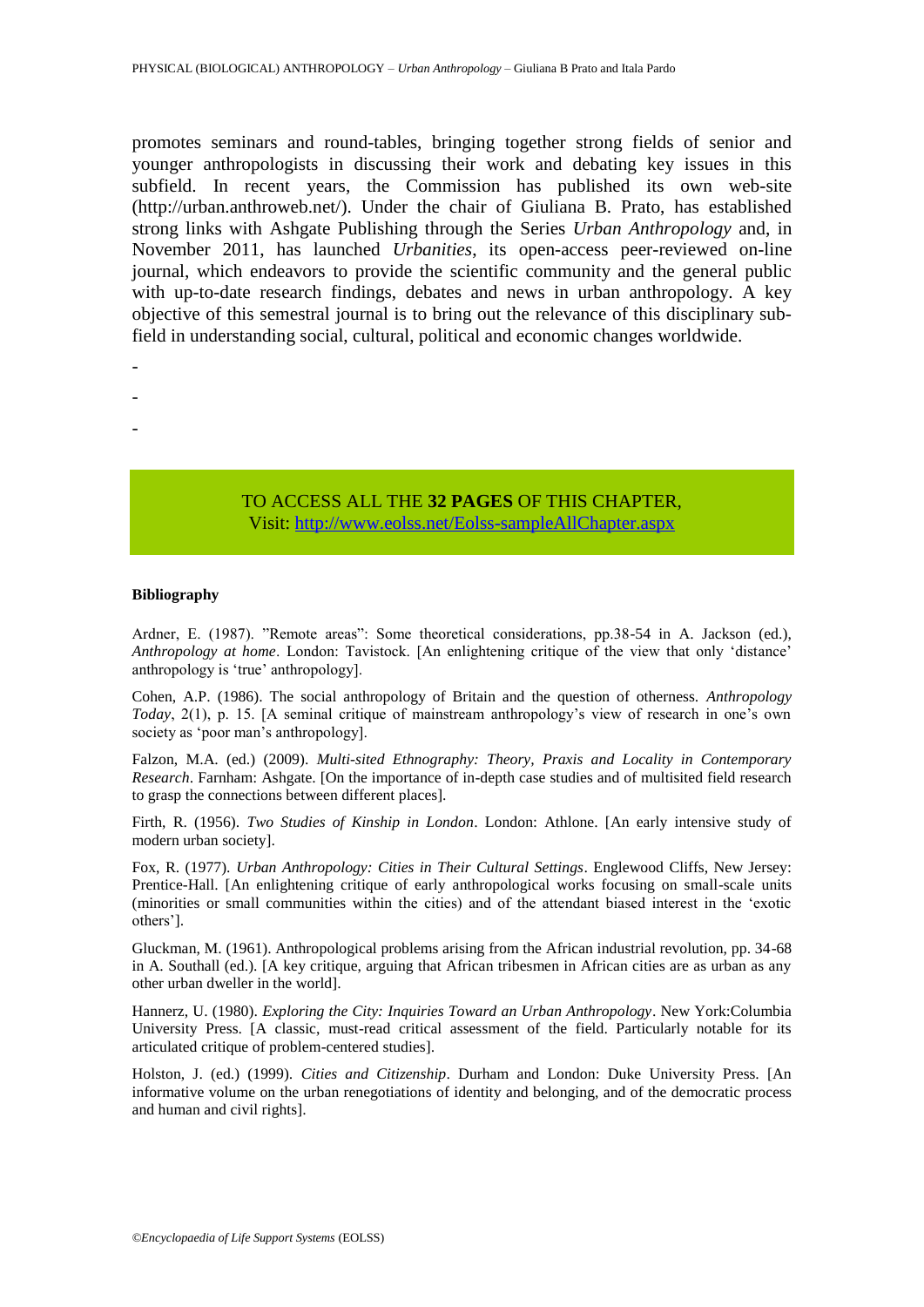promotes seminars and round-tables, bringing together strong fields of senior and younger anthropologists in discussing their work and debating key issues in this subfield. In recent years, the Commission has published its own web-site (http://urban.anthroweb.net/). Under the chair of Giuliana B. Prato, has established strong links with Ashgate Publishing through the Series *Urban Anthropology* and, in November 2011, has launched *Urbanities*, its open-access peer-reviewed on-line journal, which endeavors to provide the scientific community and the general public with up-to-date research findings, debates and news in urban anthropology. A key objective of this semestral journal is to bring out the relevance of this disciplinary subfield in understanding social, cultural, political and economic changes worldwide.

-

-

-

## TO ACCESS ALL THE **32 PAGES** OF THIS CHAPTER, [Visit:](https://www.eolss.net/ebooklib/sc_cart.aspx?File=E6-20-14) <http://www.eolss.net/Eolss-sampleAllChapter.aspx>

### **Bibliography**

Ardner, E. (1987). "Remote areas": Some theoretical considerations, pp.38-54 in A. Jackson (ed.), *Anthropology at home*. London: Tavistock. [An enlightening critique of the view that only 'distance' anthropology is 'true' anthropology].

Cohen, A.P. (1986). The social anthropology of Britain and the question of otherness. *Anthropology Today*, 2(1), p. 15. [A seminal critique of mainstream anthropology's view of research in one's own society as 'poor man's anthropology].

Falzon, M.A. (ed.) (2009). *Multi-sited Ethnography: Theory, Praxis and Locality in Contemporary Research*. Farnham: Ashgate. [On the importance of in-depth case studies and of multisited field research to grasp the connections between different places].

Firth, R. (1956). *Two Studies of Kinship in London*. London: Athlone. [An early intensive study of modern urban society].

Fox, R. (1977). *Urban Anthropology: Cities in Their Cultural Settings*. Englewood Cliffs, New Jersey: Prentice-Hall. [An enlightening critique of early anthropological works focusing on small-scale units (minorities or small communities within the cities) and of the attendant biased interest in the 'exotic others'].

Gluckman, M. (1961). Anthropological problems arising from the African industrial revolution, pp. 34-68 in A. Southall (ed.). [A key critique, arguing that African tribesmen in African cities are as urban as any other urban dweller in the world].

Hannerz, U. (1980). *Exploring the City: Inquiries Toward an Urban Anthropology*. New York:Columbia University Press. [A classic, must-read critical assessment of the field. Particularly notable for its articulated critique of problem-centered studies].

Holston, J. (ed.) (1999). *Cities and Citizenship*. Durham and London: Duke University Press. [An informative volume on the urban renegotiations of identity and belonging, and of the democratic process and human and civil rights].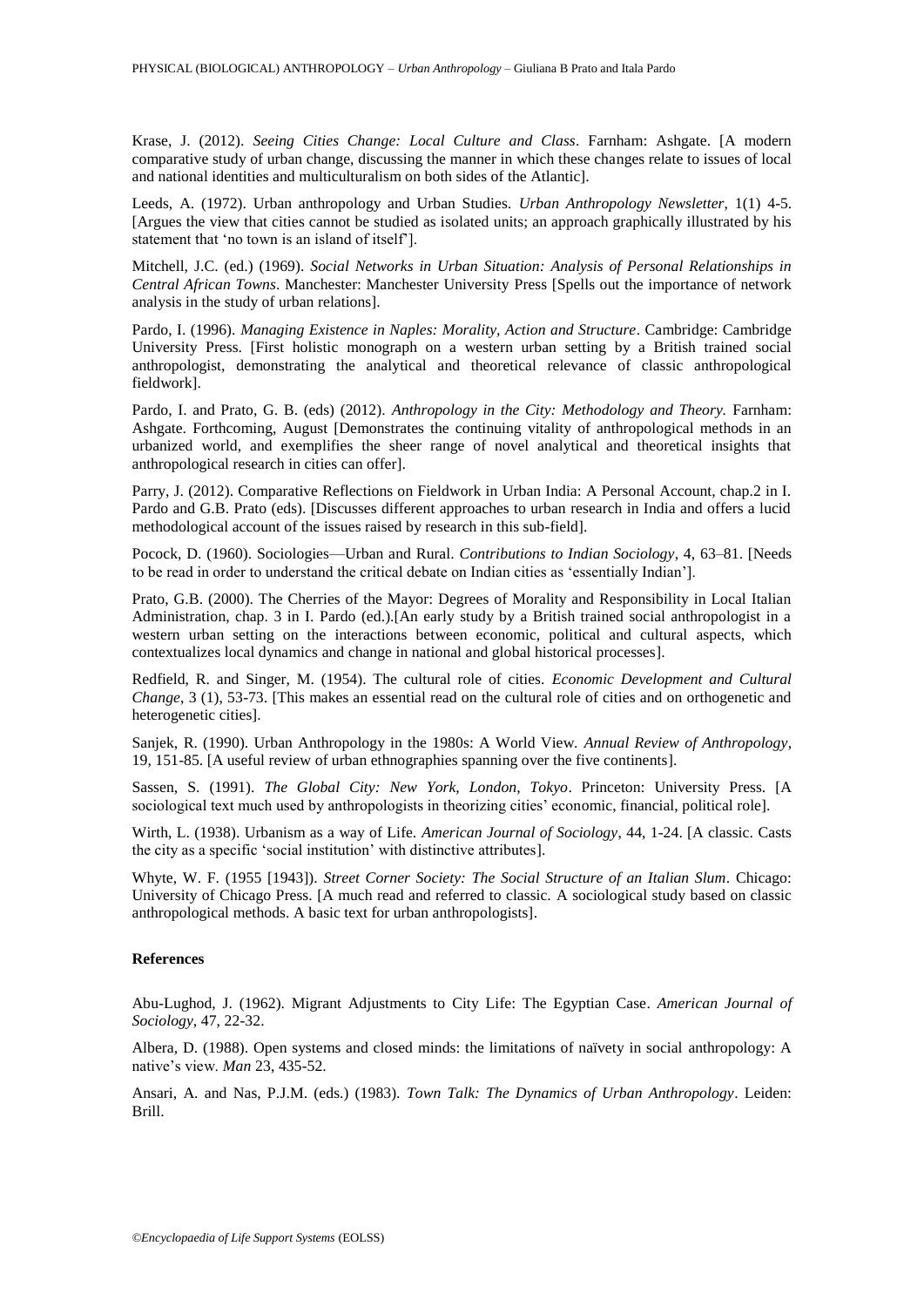Krase, J. (2012). *Seeing Cities Change: Local Culture and Class*. Farnham: Ashgate. [A modern comparative study of urban change, discussing the manner in which these changes relate to issues of local and national identities and multiculturalism on both sides of the Atlantic].

Leeds, A. (1972). Urban anthropology and Urban Studies. *Urban Anthropology Newsletter*, 1(1) 4-5. [Argues the view that cities cannot be studied as isolated units; an approach graphically illustrated by his statement that 'no town is an island of itself'].

Mitchell, J.C. (ed.) (1969). *Social Networks in Urban Situation: Analysis of Personal Relationships in Central African Towns*. Manchester: Manchester University Press [Spells out the importance of network analysis in the study of urban relations].

Pardo, I. (1996). *Managing Existence in Naples: Morality, Action and Structure*. Cambridge: Cambridge University Press. [First holistic monograph on a western urban setting by a British trained social anthropologist, demonstrating the analytical and theoretical relevance of classic anthropological fieldwork].

Pardo, I. and Prato, G. B. (eds) (2012). *Anthropology in the City: Methodology and Theory.* Farnham: Ashgate. Forthcoming, August [Demonstrates the continuing vitality of anthropological methods in an urbanized world, and exemplifies the sheer range of novel analytical and theoretical insights that anthropological research in cities can offer].

Parry, J. (2012). Comparative Reflections on Fieldwork in Urban India: A Personal Account, chap.2 in I. Pardo and G.B. Prato (eds). [Discusses different approaches to urban research in India and offers a lucid methodological account of the issues raised by research in this sub-field].

Pocock, D. (1960). Sociologies—Urban and Rural. *Contributions to Indian Sociology*, 4, 63–81. [Needs to be read in order to understand the critical debate on Indian cities as 'essentially Indian'].

Prato, G.B. (2000). The Cherries of the Mayor: Degrees of Morality and Responsibility in Local Italian Administration, chap. 3 in I. Pardo (ed.).[An early study by a British trained social anthropologist in a western urban setting on the interactions between economic, political and cultural aspects, which contextualizes local dynamics and change in national and global historical processes].

Redfield, R. and Singer, M. (1954). The cultural role of cities. *Economic Development and Cultural Change*, 3 (1), 53-73. [This makes an essential read on the cultural role of cities and on orthogenetic and heterogenetic cities].

Sanjek, R. (1990). Urban Anthropology in the 1980s: A World View. *Annual Review of Anthropology*, 19, 151-85. [A useful review of urban ethnographies spanning over the five continents].

Sassen, S. (1991). *The Global City: New York, London, Tokyo*. Princeton: University Press. [A sociological text much used by anthropologists in theorizing cities' economic, financial, political role].

Wirth, L. (1938). Urbanism as a way of Life. *American Journal of Sociology*, 44, 1-24. [A classic. Casts the city as a specific 'social institution' with distinctive attributes].

Whyte, W. F. (1955 [1943]). *Street Corner Society: The Social Structure of an Italian Slum*. Chicago: University of Chicago Press. [A much read and referred to classic. A sociological study based on classic anthropological methods. A basic text for urban anthropologists].

### **References**

Abu-Lughod, J. (1962). Migrant Adjustments to City Life: The Egyptian Case. *American Journal of Sociology*, 47, 22-32.

Albera, D. (1988). Open systems and closed minds: the limitations of naïvety in social anthropology: A native's view. *Man* 23, 435-52.

Ansari, A. and Nas, P.J.M. (eds.) (1983). *Town Talk: The Dynamics of Urban Anthropology*. Leiden: Brill.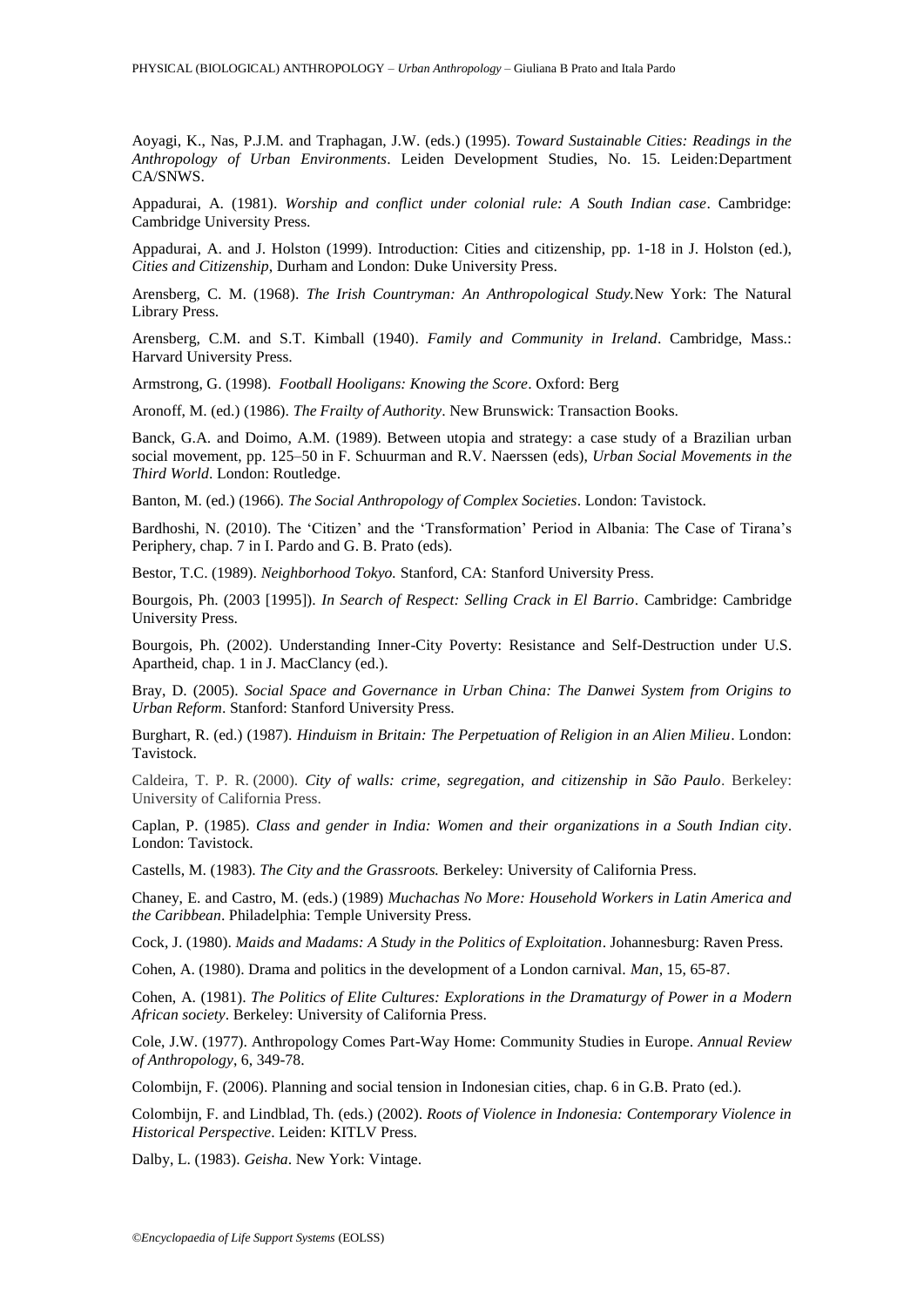Aoyagi, K., Nas, P.J.M. and Traphagan, J.W. (eds.) (1995). *Toward Sustainable Cities: Readings in the Anthropology of Urban Environments*. Leiden Development Studies, No. 15. Leiden:Department CA/SNWS.

Appadurai, A. (1981). *Worship and conflict under colonial rule: A South Indian case*. Cambridge: Cambridge University Press.

Appadurai, A. and J. Holston (1999). Introduction: Cities and citizenship, pp. 1-18 in J. Holston (ed.), *Cities and Citizenship*, Durham and London: Duke University Press.

Arensberg, C. M. (1968). *The Irish Countryman: An Anthropological Study.*New York: The Natural Library Press.

Arensberg, C.M. and S.T. Kimball (1940). *Family and Community in Ireland*. Cambridge, Mass.: Harvard University Press.

Armstrong, G. (1998). *Football Hooligans: Knowing the Score*. Oxford: Berg

Aronoff, M. (ed.) (1986). *The Frailty of Authority*. New Brunswick: Transaction Books.

Banck, G.A. and Doimo, A.M. (1989). Between utopia and strategy: a case study of a Brazilian urban social movement, pp. 125–50 in F. Schuurman and R.V. Naerssen (eds), *Urban Social Movements in the Third World*. London: Routledge.

Banton, M. (ed.) (1966). *The Social Anthropology of Complex Societies*. London: Tavistock.

Bardhoshi, N. (2010). The 'Citizen' and the 'Transformation' Period in Albania: The Case of Tirana's Periphery, chap. 7 in I. Pardo and G. B. Prato (eds).

Bestor, T.C. (1989). *Neighborhood Tokyo.* Stanford, CA: Stanford University Press.

Bourgois, Ph. (2003 [1995]). *In Search of Respect: Selling Crack in El Barrio*. Cambridge: Cambridge University Press.

Bourgois, Ph. (2002). Understanding Inner-City Poverty: Resistance and Self-Destruction under U.S. Apartheid, chap. 1 in J. MacClancy (ed.).

Bray, D. (2005). *Social Space and Governance in Urban China: The Danwei System from Origins to Urban Reform*. Stanford: Stanford University Press.

Burghart, R. (ed.) (1987). *Hinduism in Britain: The Perpetuation of Religion in an Alien Milieu*. London: Tavistock.

Caldeira, T. P. R. (2000). *[City of walls: crime, segregation, and citizenship in São Paulo](https://catalyst.library.jhu.edu/catalog/bib_2184550)*. Berkeley: University of California Press.

Caplan, P. (1985). *Class and gender in India: Women and their organizations in a South Indian city*. London: Tavistock.

Castells, M. (1983). *The City and the Grassroots.* Berkeley: University of California Press.

Chaney, E. and Castro, M. (eds.) (1989) *Muchachas No More: Household Workers in Latin America and the Caribbean*. Philadelphia: Temple University Press.

Cock, J. (1980). *Maids and Madams: A Study in the Politics of Exploitation*. Johannesburg: Raven Press.

Cohen, A. (1980). Drama and politics in the development of a London carnival. *Man*, 15, 65-87.

Cohen, A. (1981). *The Politics of Elite Cultures: Explorations in the Dramaturgy of Power in a Modern African society*. Berkeley: University of California Press.

Cole, J.W. (1977). Anthropology Comes Part-Way Home: Community Studies in Europe. *Annual Review of Anthropology*, 6, 349-78.

Colombijn, F. (2006). Planning and social tension in Indonesian cities, chap. 6 in G.B. Prato (ed.).

Colombijn, F. and Lindblad, Th. (eds.) (2002). *Roots of Violence in Indonesia: Contemporary Violence in Historical Perspective*. Leiden: KITLV Press.

Dalby, L. (1983). *Geisha*. New York: Vintage.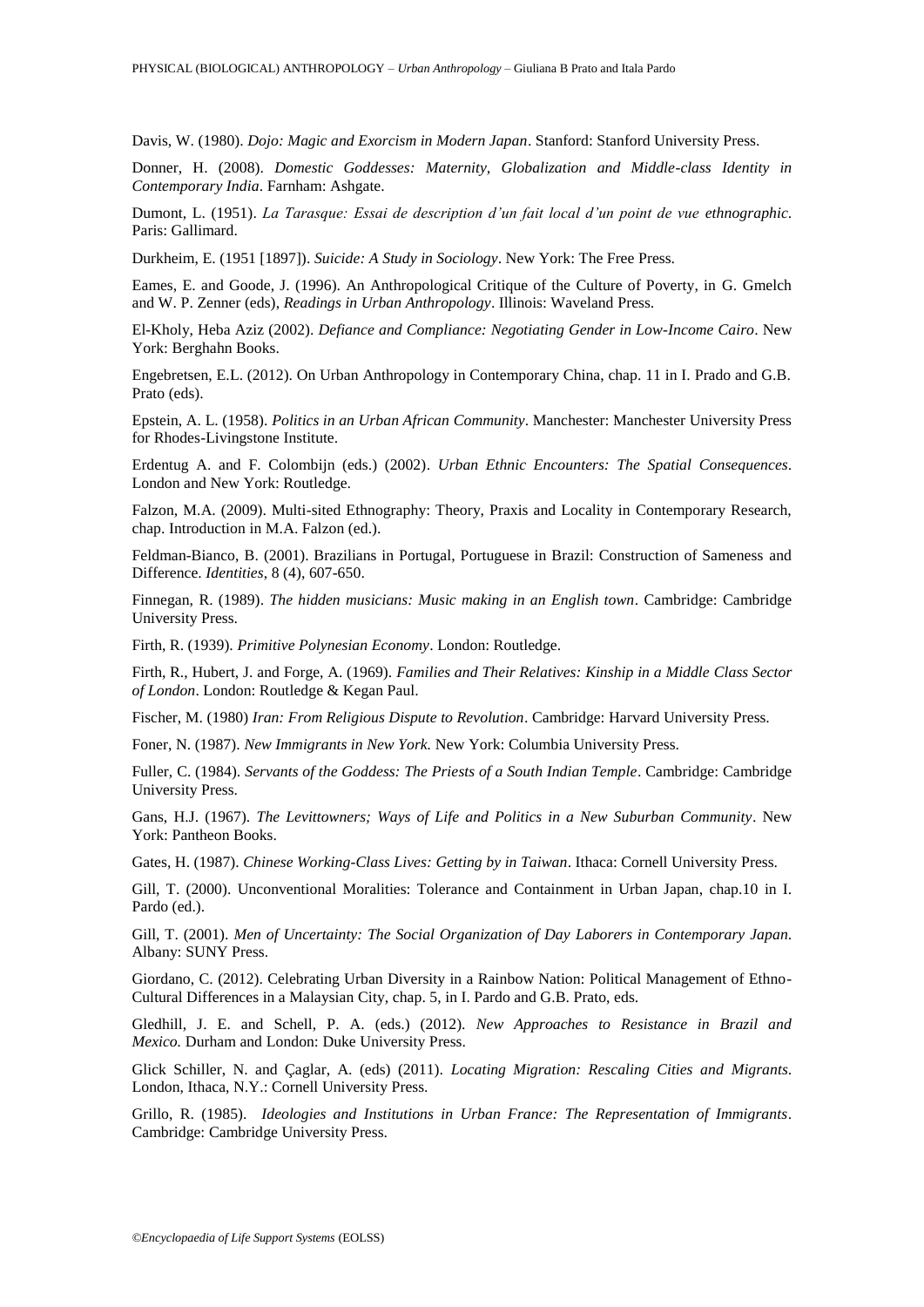Davis, W. (1980). *Dojo: Magic and Exorcism in Modern Japan*. Stanford: Stanford University Press.

Donner, H. (2008). *Domestic Goddesses: Maternity, Globalization and Middle-class Identity in Contemporary India*. Farnham: Ashgate.

Dumont, L. (1951). *La Tarasque: Essai de description d'un fait local d'un point de vue ethnographic*. Paris: Gallimard.

Durkheim, E. (1951 [1897]). *Suicide: A Study in Sociology*. New York: The Free Press.

Eames, E. and Goode, J. (1996). An Anthropological Critique of the Culture of Poverty, in G. Gmelch and W. P. Zenner (eds), *Readings in Urban Anthropology*. Illinois: Waveland Press.

El-Kholy, Heba Aziz (2002). *Defiance and Compliance: Negotiating Gender in Low-Income Cairo*. New York: Berghahn Books.

Engebretsen, E.L. (2012). On Urban Anthropology in Contemporary China, chap. 11 in I. Prado and G.B. Prato (eds).

Epstein, A. L. (1958). *Politics in an Urban African Community*. Manchester: Manchester University Press for Rhodes-Livingstone Institute.

Erdentug A. and F. Colombijn (eds.) (2002). *Urban Ethnic Encounters: The Spatial Consequences*. London and New York: Routledge.

Falzon, M.A. (2009). Multi-sited Ethnography: Theory, Praxis and Locality in Contemporary Research, chap. Introduction in M.A. Falzon (ed.).

Feldman-Bianco, B. (2001). Brazilians in Portugal, Portuguese in Brazil: Construction of Sameness and Difference. *Identities*, 8 (4), 607-650.

Finnegan, R. (1989). *The hidden musicians: Music making in an English town*. Cambridge: Cambridge University Press.

Firth, R. (1939). *Primitive Polynesian Economy*. London: Routledge.

Firth, R., Hubert, J. and Forge, A. (1969). *Families and Their Relatives: Kinship in a Middle Class Sector of London*. London: Routledge & Kegan Paul.

Fischer, M. (1980) *Iran: From Religious Dispute to Revolution*. Cambridge: Harvard University Press.

Foner, N. (1987). *New Immigrants in New York.* New York: Columbia University Press.

Fuller, C. (1984). *Servants of the Goddess: The Priests of a South Indian Temple*. Cambridge: Cambridge University Press.

Gans, H.J. (1967). *The Levittowners; Ways of Life and Politics in a New Suburban Community*. New York: Pantheon Books.

Gates, H. (1987). *Chinese Working-Class Lives: Getting by in Taiwan*. Ithaca: Cornell University Press.

Gill, T. (2000). Unconventional Moralities: Tolerance and Containment in Urban Japan, chap.10 in I. Pardo (ed.).

Gill, T. (2001). *Men of Uncertainty: The Social Organization of Day Laborers in Contemporary Japan*. Albany: SUNY Press.

Giordano, C. (2012). Celebrating Urban Diversity in a Rainbow Nation: Political Management of Ethno-Cultural Differences in a Malaysian City, chap. 5, in I. Pardo and G.B. Prato, eds.

Gledhill, J. E. and Schell, P. A. (eds.) (2012). *New Approaches to Resistance in Brazil and Mexico.* Durham and London: Duke University Press.

Glick Schiller, N. and Çaglar, A. (eds) (2011). *Locating Migration: Rescaling Cities and Migrants*. London, Ithaca, N.Y.: Cornell University Press.

Grillo, R. (1985). *Ideologies and Institutions in Urban France: The Representation of Immigrants*. Cambridge: Cambridge University Press.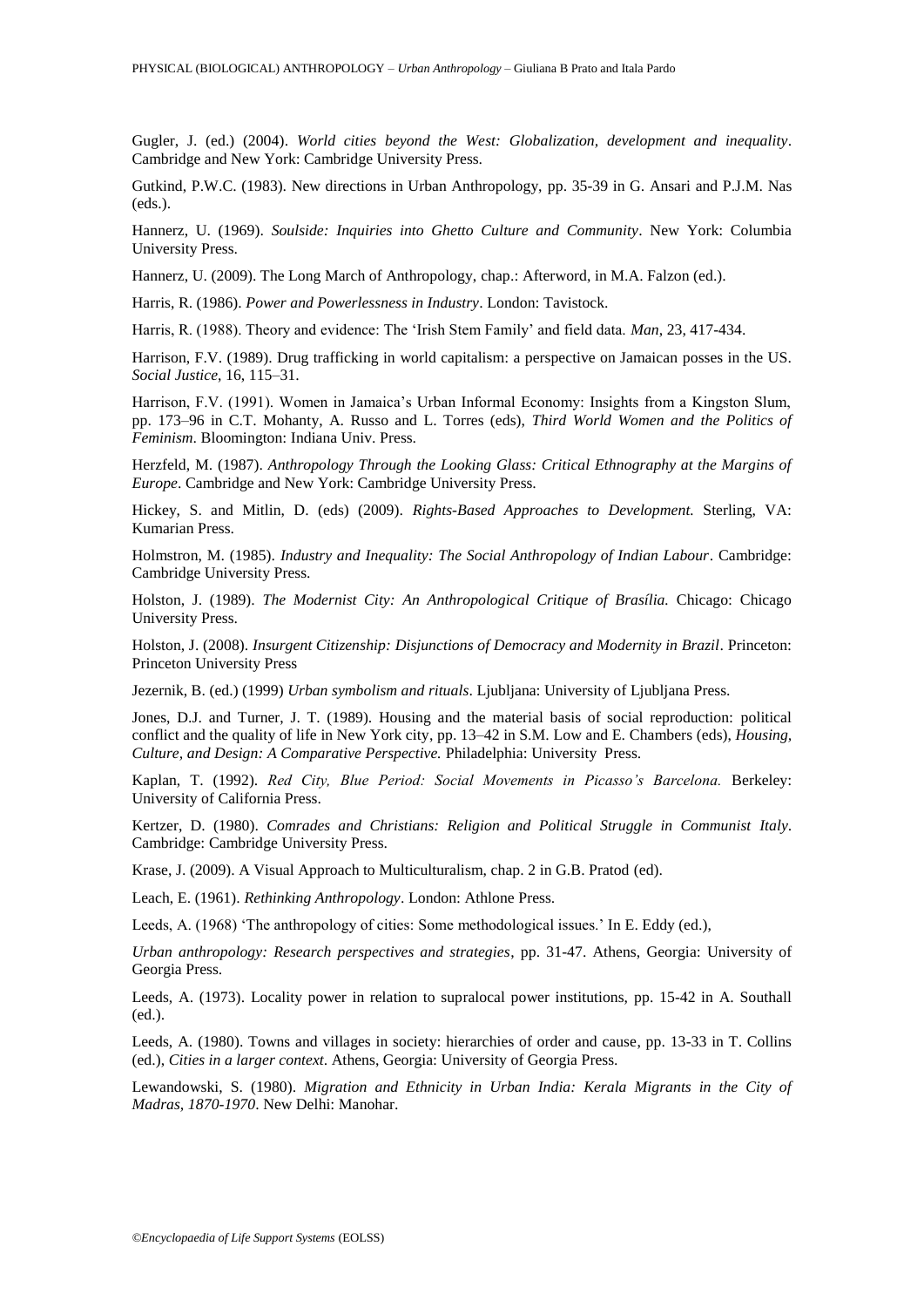Gugler, J. (ed.) (2004). *World cities beyond the West: Globalization, development and inequality*. Cambridge and New York: Cambridge University Press.

Gutkind, P.W.C. (1983). New directions in Urban Anthropology, pp. 35-39 in G. Ansari and P.J.M. Nas (eds.).

Hannerz, U. (1969). *Soulside: Inquiries into Ghetto Culture and Community*. New York: Columbia University Press.

Hannerz, U. (2009). The Long March of Anthropology, chap.: Afterword, in M.A. Falzon (ed.).

Harris, R. (1986). *Power and Powerlessness in Industry*. London: Tavistock.

Harris, R. (1988). Theory and evidence: The 'Irish Stem Family' and field data. *Man*, 23, 417-434.

Harrison, F.V. (1989). Drug trafficking in world capitalism: a perspective on Jamaican posses in the US. *Social Justice*, 16, 115–31.

Harrison, F.V. (1991). Women in Jamaica's Urban Informal Economy: Insights from a Kingston Slum, pp. 173–96 in C.T. Mohanty, A. Russo and L. Torres (eds), *Third World Women and the Politics of Feminism*. Bloomington: Indiana Univ. Press.

Herzfeld, M. (1987). *Anthropology Through the Looking Glass: Critical Ethnography at the Margins of Europe*. Cambridge and New York: Cambridge University Press.

Hickey, S. and Mitlin, D. (eds) (2009). *Rights-Based Approaches to Development.* Sterling, VA: Kumarian Press.

Holmstron, M. (1985). *Industry and Inequality: The Social Anthropology of Indian Labour*. Cambridge: Cambridge University Press.

Holston, J. (1989). *The Modernist City: An Anthropological Critique of Brasília.* Chicago: Chicago University Press.

Holston, J. (2008). *[Insurgent Citizenship: Disjunctions of Democracy and Modernity in Brazil](https://catalyst.library.jhu.edu/catalog/bib_2703848)*. Princeton: Princeton University Press

Jezernik, B. (ed.) (1999) *Urban symbolism and rituals*. Ljubljana: University of Ljubljana Press.

Jones, D.J. and Turner, J. T. (1989). Housing and the material basis of social reproduction: political conflict and the quality of life in New York city, pp. 13–42 in S.M. Low and E. Chambers (eds), *Housing, Culture, and Design: A Comparative Perspective.* Philadelphia: University Press.

Kaplan, T. (1992). *Red City, Blue Period: Social Movements in Picasso's Barcelona.* Berkeley: University of California Press.

Kertzer, D. (1980). *Comrades and Christians: Religion and Political Struggle in Communist Italy*. Cambridge: Cambridge University Press.

Krase, J. (2009). A Visual Approach to Multiculturalism, chap. 2 in G.B. Pratod (ed).

Leach, E. (1961). *Rethinking Anthropology*. London: Athlone Press.

Leeds, A. (1968) 'The anthropology of cities: Some methodological issues.' In E. Eddy (ed.),

*Urban anthropology: Research perspectives and strategies*, pp. 31-47. Athens, Georgia: University of Georgia Press.

Leeds, A. (1973). Locality power in relation to supralocal power institutions, pp. 15-42 in A. Southall (ed.).

Leeds, A. (1980). Towns and villages in society: hierarchies of order and cause, pp. 13-33 in T. Collins (ed.), *Cities in a larger context*. Athens, Georgia: University of Georgia Press.

Lewandowski, S. (1980). *Migration and Ethnicity in Urban India: Kerala Migrants in the City of Madras, 1870-1970*. New Delhi: Manohar.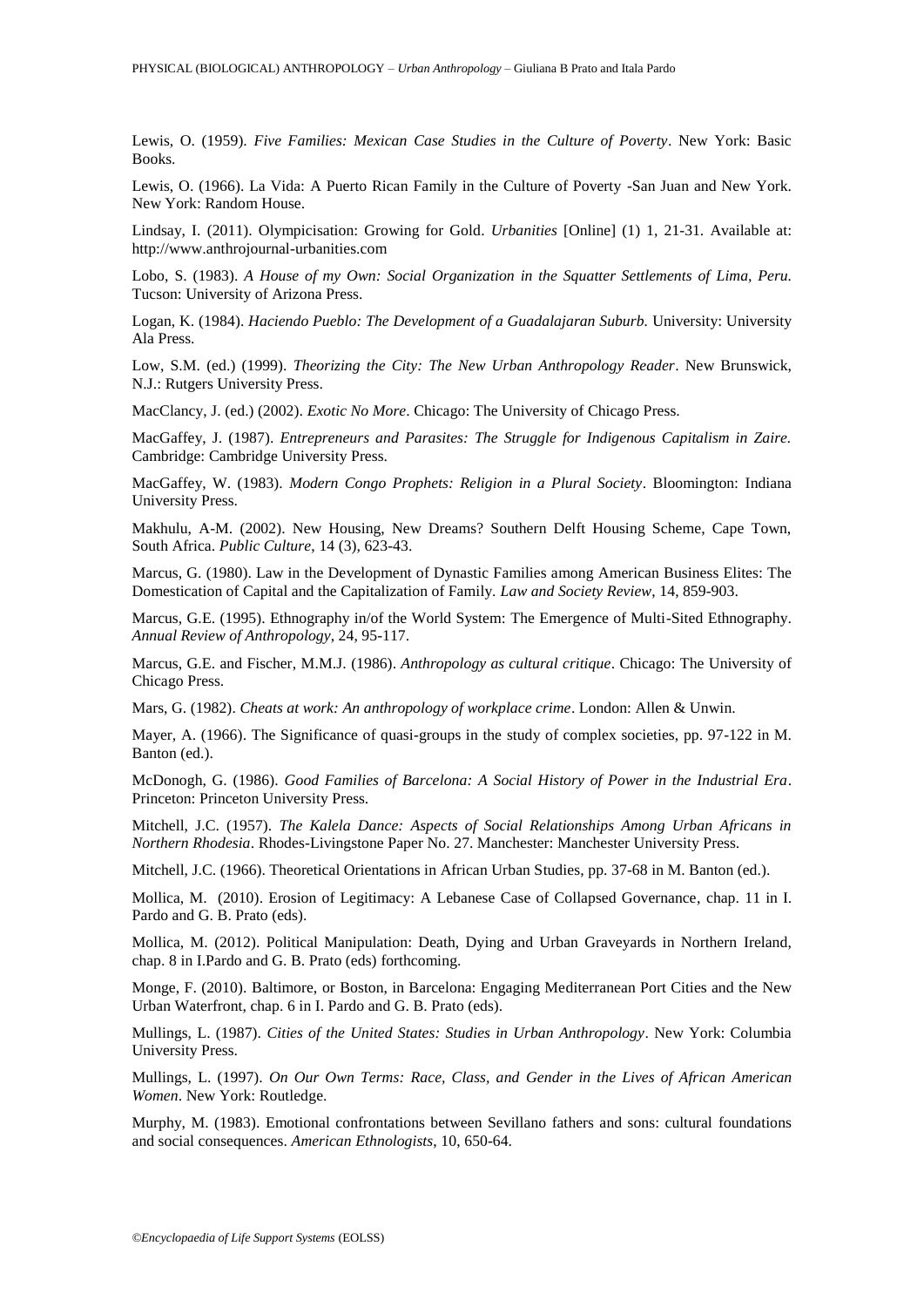Lewis, O. (1959). *Five Families: Mexican Case Studies in the Culture of Poverty*. New York: Basic Books.

Lewis, O. (1966). La Vida: A Puerto Rican Family in the Culture of Poverty -San Juan and New York. New York: Random House.

Lindsay, I. (2011). Olympicisation: Growing for Gold. *Urbanities* [Online] (1) 1, 21-31. Available at: http://www.anthrojournal-urbanities.com

Lobo, S. (1983). *A House of my Own: Social Organization in the Squatter Settlements of Lima, Peru.*  Tucson: University of Arizona Press.

Logan, K. (1984). *Haciendo Pueblo: The Development of a Guadalajaran Suburb.* University: University Ala Press.

Low, S.M. (ed.) (1999). *Theorizing the City: The New Urban Anthropology Reader*. New Brunswick, N.J.: Rutgers University Press.

MacClancy, J. (ed.) (2002). *Exotic No More*. Chicago: The University of Chicago Press.

MacGaffey, J. (1987). *Entrepreneurs and Parasites: The Struggle for Indigenous Capitalism in Zaire.*  Cambridge: Cambridge University Press.

MacGaffey, W. (1983). *Modern Congo Prophets: Religion in a Plural Society*. Bloomington: Indiana University Press.

Makhulu, A-M. (2002). New Housing, New Dreams? Southern Delft Housing Scheme, Cape Town, South Africa. *Public Culture*, 14 (3), 623-43.

Marcus, G. (1980). Law in the Development of Dynastic Families among American Business Elites: The Domestication of Capital and the Capitalization of Family. *Law and Society Review*, 14, 859-903.

Marcus, G.E. (1995). Ethnography in/of the World System: The Emergence of Multi-Sited Ethnography. *Annual Review of Anthropology*, 24, 95-117.

Marcus, G.E. and Fischer, M.M.J. (1986). *Anthropology as cultural critique*. Chicago: The University of Chicago Press.

Mars, G. (1982). *Cheats at work: An anthropology of workplace crime*. London: Allen & Unwin.

Mayer, A. (1966). The Significance of quasi-groups in the study of complex societies, pp. 97-122 in M. Banton (ed.).

McDonogh, G. (1986). *Good Families of Barcelona: A Social History of Power in the Industrial Era*. Princeton: Princeton University Press.

Mitchell, J.C. (1957). *The Kalela Dance: Aspects of Social Relationships Among Urban Africans in Northern Rhodesia*. Rhodes-Livingstone Paper No. 27. Manchester: Manchester University Press.

Mitchell, J.C. (1966). Theoretical Orientations in African Urban Studies, pp. 37-68 in M. Banton (ed.).

Mollica, M. (2010). Erosion of Legitimacy: A Lebanese Case of Collapsed Governance, chap. 11 in I. Pardo and G. B. Prato (eds).

Mollica, M. (2012). Political Manipulation: Death, Dying and Urban Graveyards in Northern Ireland, chap. 8 in I.Pardo and G. B. Prato (eds) forthcoming.

Monge, F. (2010). Baltimore, or Boston, in Barcelona: Engaging Mediterranean Port Cities and the New Urban Waterfront, chap. 6 in I. Pardo and G. B. Prato (eds).

Mullings, L. (1987). *Cities of the United States: Studies in Urban Anthropology*. New York: Columbia University Press.

Mullings, L. (1997). *On Our Own Terms: Race, Class, and Gender in the Lives of African American Women*. New York: Routledge.

Murphy, M. (1983). Emotional confrontations between Sevillano fathers and sons: cultural foundations and social consequences. *American Ethnologists*, 10, 650-64.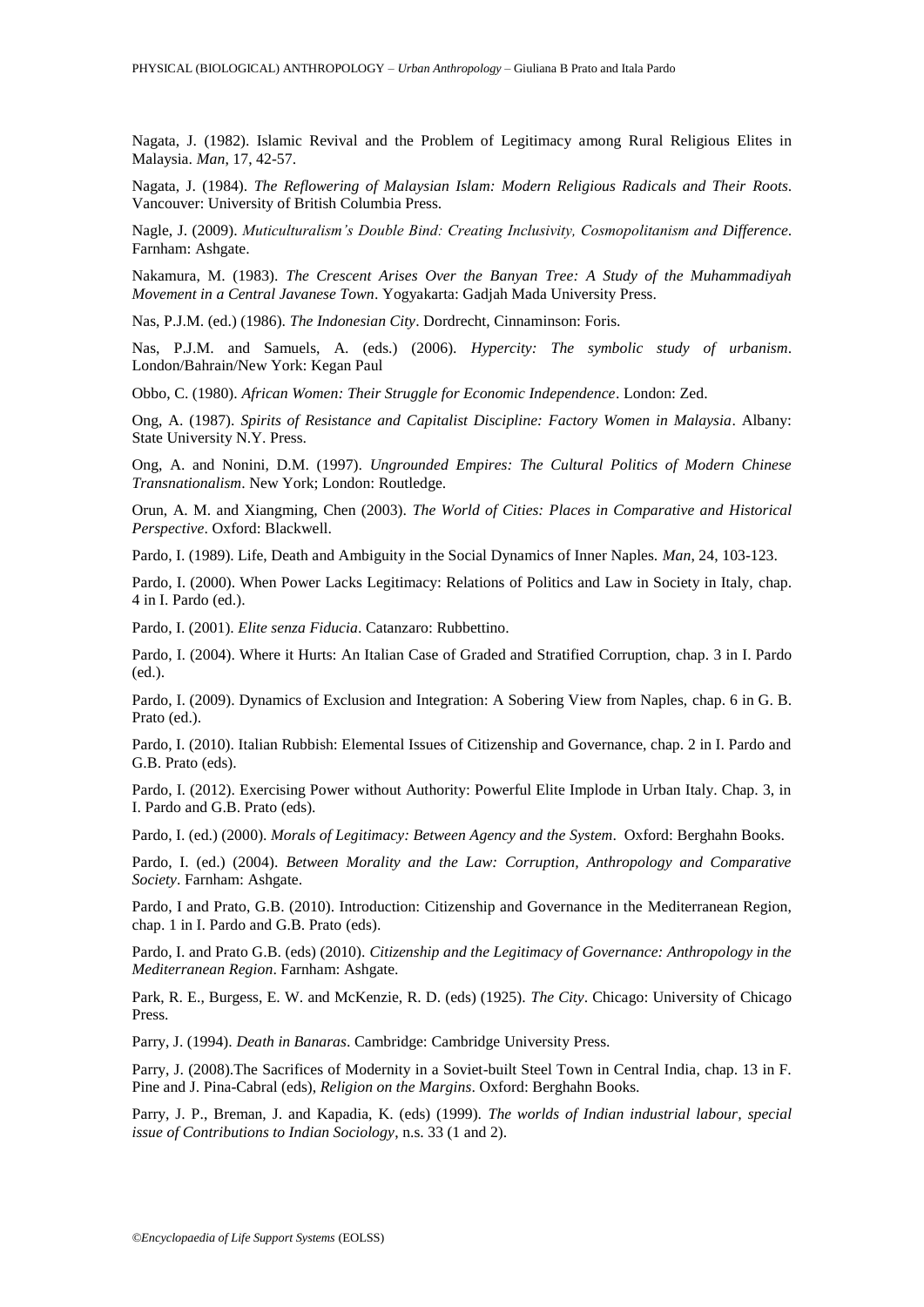Nagata, J. (1982). Islamic Revival and the Problem of Legitimacy among Rural Religious Elites in Malaysia. *Man*, 17, 42-57.

Nagata, J. (1984). *The Reflowering of Malaysian Islam: Modern Religious Radicals and Their Roots*. Vancouver: University of British Columbia Press.

Nagle, J. (2009). *Muticulturalism's Double Bind: Creating Inclusivity, Cosmopolitanism and Difference*. Farnham: Ashgate.

Nakamura, M. (1983). *The Crescent Arises Over the Banyan Tree: A Study of the Muhammadiyah Movement in a Central Javanese Town*. Yogyakarta: Gadjah Mada University Press.

Nas, P.J.M. (ed.) (1986). *The Indonesian City*. Dordrecht, Cinnaminson: Foris.

Nas, P.J.M. and Samuels, A. (eds.) (2006). *Hypercity: The symbolic study of urbanism*. London/Bahrain/New York: Kegan Paul

Obbo, C. (1980). *African Women: Their Struggle for Economic Independence*. London: Zed.

Ong, A. (1987). *Spirits of Resistance and Capitalist Discipline: Factory Women in Malaysia*. Albany: State University N.Y. Press.

Ong, A. and Nonini, D.M. (1997). *Ungrounded Empires: The Cultural Politics of Modern Chinese Transnationalism*. New York; London: Routledge.

Orun, A. M. and Xiangming, Chen (2003). *The World of Cities: Places in Comparative and Historical Perspective*. Oxford: Blackwell.

Pardo, I. (1989). Life, Death and Ambiguity in the Social Dynamics of Inner Naples. *Man*, 24, 103-123.

Pardo, I. (2000). When Power Lacks Legitimacy: Relations of Politics and Law in Society in Italy, chap. 4 in I. Pardo (ed.).

Pardo, I. (2001). *Elite senza Fiducia*. Catanzaro: Rubbettino.

Pardo, I. (2004). Where it Hurts: An Italian Case of Graded and Stratified Corruption, chap. 3 in I. Pardo (ed.).

Pardo, I. (2009). Dynamics of Exclusion and Integration: A Sobering View from Naples, chap. 6 in G. B. Prato (ed.).

Pardo, I. (2010). Italian Rubbish: Elemental Issues of Citizenship and Governance, chap. 2 in I. Pardo and G.B. Prato (eds).

Pardo, I. (2012). Exercising Power without Authority: Powerful Elite Implode in Urban Italy. Chap. 3, in I. Pardo and G.B. Prato (eds).

Pardo, I. (ed.) (2000). *Morals of Legitimacy: Between Agency and the System*. Oxford: Berghahn Books.

Pardo, I. (ed.) (2004). *Between Morality and the Law: Corruption, Anthropology and Comparative Society*. Farnham: Ashgate.

Pardo, I and Prato, G.B. (2010). Introduction: Citizenship and Governance in the Mediterranean Region, chap. 1 in I. Pardo and G.B. Prato (eds).

Pardo, I. and Prato G.B. (eds) (2010). *Citizenship and the Legitimacy of Governance: Anthropology in the Mediterranean Region*. Farnham: Ashgate.

Park, R. E., Burgess, E. W. and McKenzie, R. D. (eds) (1925). *The City*. Chicago: University of Chicago Press.

Parry, J. (1994). *Death in Banaras*. Cambridge: Cambridge University Press.

Parry, J. (2008).The Sacrifices of Modernity in a Soviet-built Steel Town in Central India, chap. 13 in F. Pine and J. Pina-Cabral (eds), *Religion on the Margins*. Oxford: Berghahn Books.

Parry, J. P., Breman, J. and Kapadia, K. (eds) (1999). *The worlds of Indian industrial labour, special issue of Contributions to Indian Sociology*, n.s. 33 (1 and 2).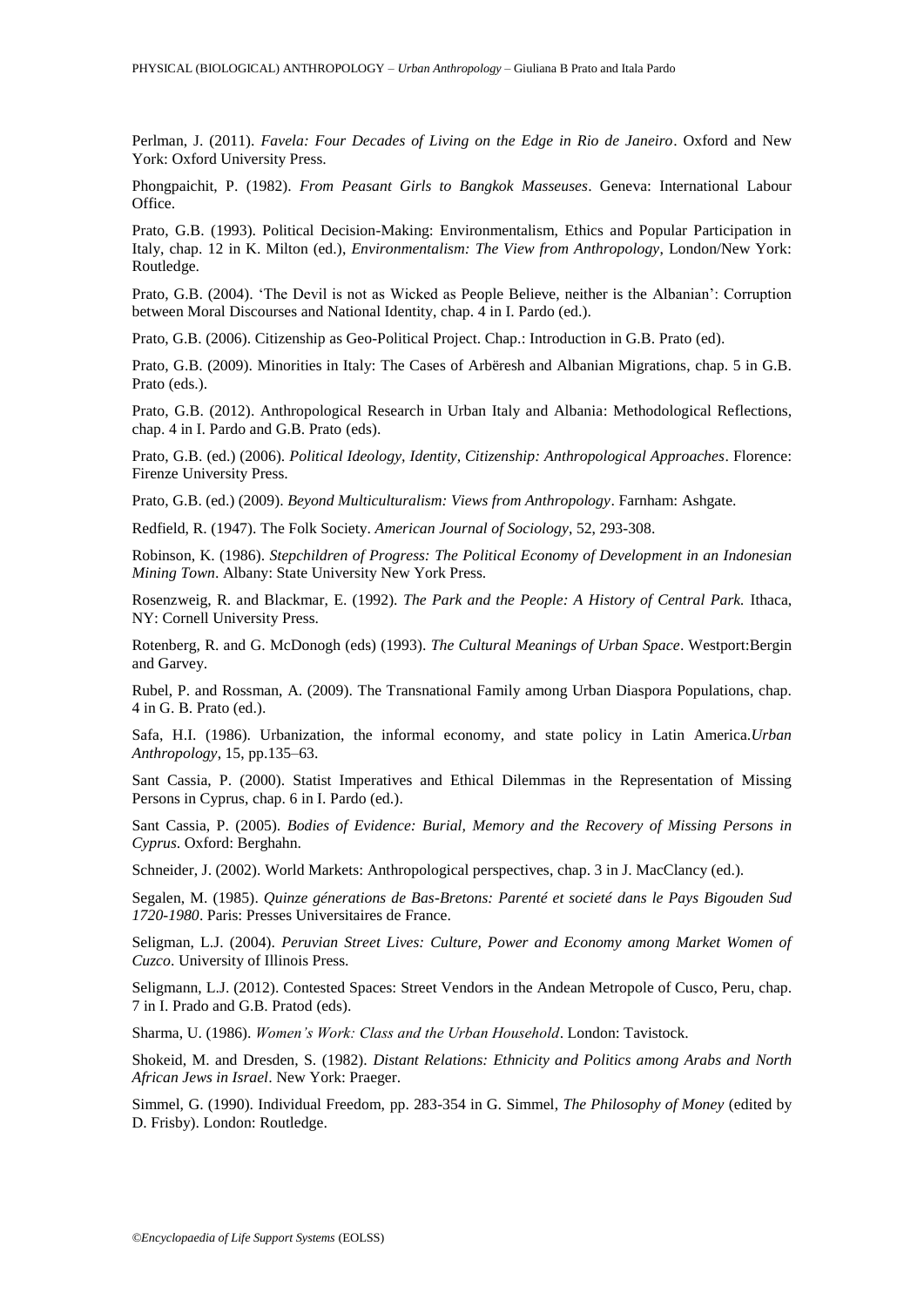Perlman, J. (2011). *Favela: Four Decades of Living on the Edge in Rio de Janeiro*. Oxford and New York: Oxford University Press.

Phongpaichit, P. (1982). *From Peasant Girls to Bangkok Masseuses*. Geneva: International Labour Office.

Prato, G.B. (1993). Political Decision-Making: Environmentalism, Ethics and Popular Participation in Italy, chap. 12 in K. Milton (ed.), *Environmentalism: The View from Anthropology*, London/New York: Routledge.

Prato, G.B. (2004). 'The Devil is not as Wicked as People Believe, neither is the Albanian': Corruption between Moral Discourses and National Identity, chap. 4 in I. Pardo (ed.).

Prato, G.B. (2006). Citizenship as Geo-Political Project. Chap.: Introduction in G.B. Prato (ed).

Prato, G.B. (2009). Minorities in Italy: The Cases of Arbëresh and Albanian Migrations, chap. 5 in G.B. Prato (eds.).

Prato, G.B. (2012). Anthropological Research in Urban Italy and Albania: Methodological Reflections, chap. 4 in I. Pardo and G.B. Prato (eds).

Prato, G.B. (ed.) (2006). *Political Ideology, Identity, Citizenship: Anthropological Approaches*. Florence: Firenze University Press.

Prato, G.B. (ed.) (2009). *Beyond Multiculturalism: Views from Anthropology*. Farnham: Ashgate.

Redfield, R. (1947). The Folk Society. *American Journal of Sociology*, 52, 293-308.

Robinson, K. (1986). *Stepchildren of Progress: The Political Economy of Development in an Indonesian Mining Town*. Albany: State University New York Press.

Rosenzweig, R. and Blackmar, E. (1992). *The Park and the People: A History of Central Park.* Ithaca, NY: Cornell University Press.

Rotenberg, R. and G. McDonogh (eds) (1993). *The Cultural Meanings of Urban Space*. Westport:Bergin and Garvey.

Rubel, P. and Rossman, A. (2009). The Transnational Family among Urban Diaspora Populations, chap. 4 in G. B. Prato (ed.).

Safa, H.I. (1986). Urbanization, the informal economy, and state policy in Latin America.*Urban Anthropology*, 15, pp.135–63.

Sant Cassia, P. (2000). Statist Imperatives and Ethical Dilemmas in the Representation of Missing Persons in Cyprus, chap. 6 in I. Pardo (ed.).

Sant Cassia, P. (2005). *Bodies of Evidence: Burial, Memory and the Recovery of Missing Persons in Cyprus*. Oxford: Berghahn.

Schneider, J. (2002). World Markets: Anthropological perspectives, chap. 3 in J. MacClancy (ed.).

Segalen, M. (1985). *Quinze génerations de Bas-Bretons: Parenté et societé dans le Pays Bigouden Sud 1720-1980*. Paris: Presses Universitaires de France.

Seligman, L.J. (2004). *Peruvian Street Lives: Culture, Power and Economy among Market Women of Cuzco*. University of Illinois Press.

Seligmann, L.J. (2012). Contested Spaces: Street Vendors in the Andean Metropole of Cusco, Peru, chap. 7 in I. Prado and G.B. Pratod (eds).

Sharma, U. (1986). *Women's Work: Class and the Urban Household*. London: Tavistock.

Shokeid, M. and Dresden, S. (1982). *Distant Relations: Ethnicity and Politics among Arabs and North African Jews in Israel*. New York: Praeger.

Simmel, G. (1990). Individual Freedom, pp. 283-354 in G. Simmel, *The Philosophy of Money* (edited by D. Frisby). London: Routledge.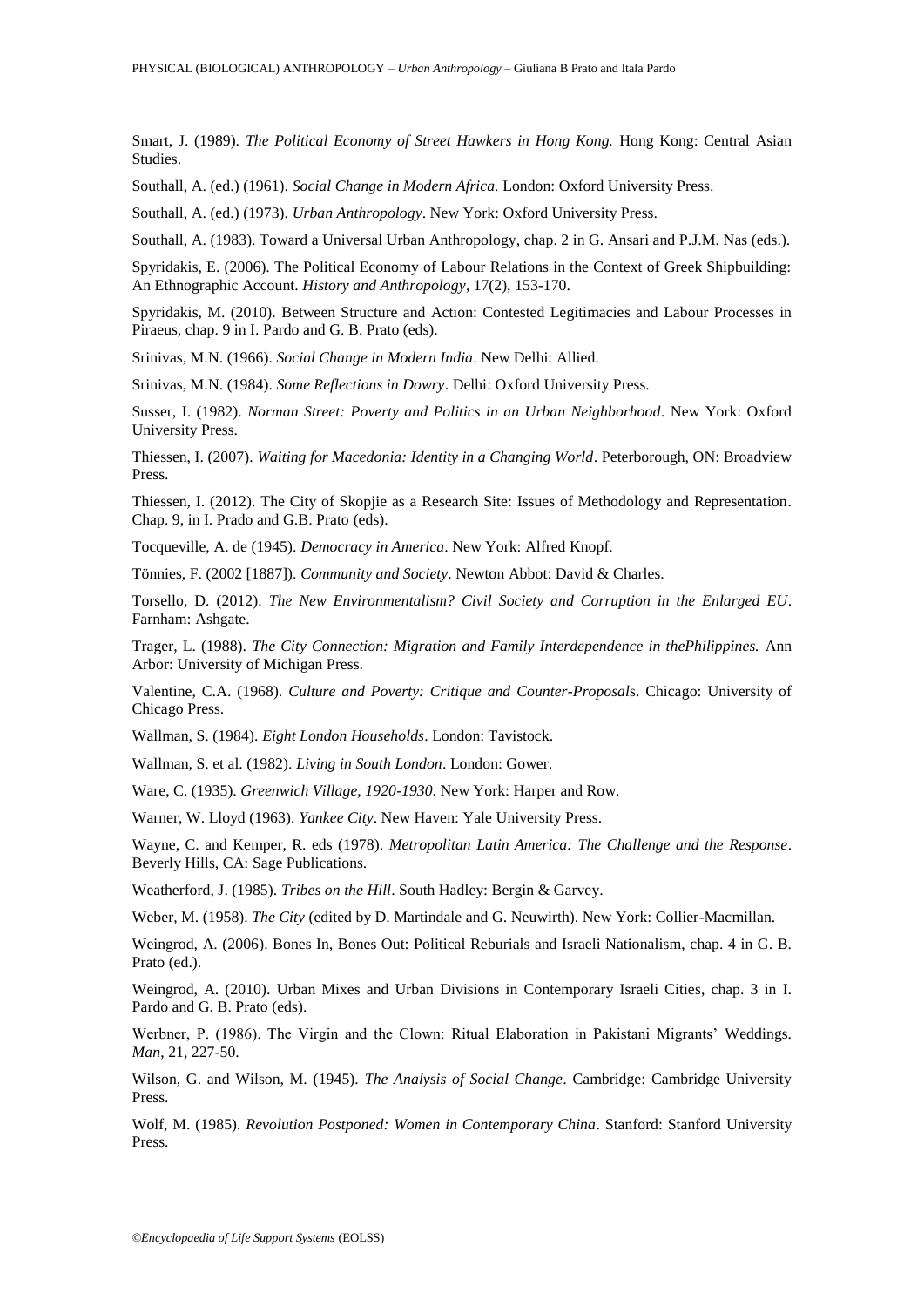Smart, J. (1989). *The Political Economy of Street Hawkers in Hong Kong*. Hong Kong: Central Asian Studies.

Southall, A. (ed.) (1961). *Social Change in Modern Africa.* London: Oxford University Press.

Southall, A. (ed.) (1973). *Urban Anthropology*. New York: Oxford University Press.

Southall, A. (1983). Toward a Universal Urban Anthropology, chap. 2 in G. Ansari and P.J.M. Nas (eds.).

Spyridakis, E. (2006). The Political Economy of Labour Relations in the Context of Greek Shipbuilding: An Ethnographic Account. *History and Anthropology*, 17(2), 153-170.

Spyridakis, M. (2010). Between Structure and Action: Contested Legitimacies and Labour Processes in Piraeus, chap. 9 in I. Pardo and G. B. Prato (eds).

Srinivas, M.N. (1966). *Social Change in Modern India*. New Delhi: Allied.

Srinivas, M.N. (1984). *Some Reflections in Dowry*. Delhi: Oxford University Press.

Susser, I. (1982). *Norman Street: Poverty and Politics in an Urban Neighborhood*. New York: Oxford University Press.

Thiessen, I. (2007). *Waiting for Macedonia: Identity in a Changing World*. Peterborough, ON: Broadview Press.

Thiessen, I. (2012). The City of Skopjie as a Research Site: Issues of Methodology and Representation. Chap. 9, in I. Prado and G.B. Prato (eds).

Tocqueville, A. de (1945). *Democracy in America*. New York: Alfred Knopf.

Tönnies, F. (2002 [1887]). *Community and Society*. Newton Abbot: David & Charles.

Torsello, D. (2012). *The New Environmentalism? Civil Society and Corruption in the Enlarged EU*. Farnham: Ashgate.

Trager, L. (1988). *The City Connection: Migration and Family Interdependence in thePhilippines.* Ann Arbor: University of Michigan Press.

Valentine, C.A. (1968). *Culture and Poverty: Critique and Counter-Proposal*s. Chicago: University of Chicago Press.

Wallman, S. (1984). *Eight London Households*. London: Tavistock.

Wallman, S. et al. (1982). *Living in South London*. London: Gower.

Ware, C. (1935). *Greenwich Village, 1920-1930*. New York: Harper and Row.

Warner, W. Lloyd (1963). *Yankee City*. New Haven: Yale University Press.

Wayne, C. and Kemper, R. eds (1978). *Metropolitan Latin America: The Challenge and the Response*. Beverly Hills, CA: Sage Publications.

Weatherford, J. (1985). *Tribes on the Hill*. South Hadley: Bergin & Garvey.

Weber, M. (1958). *The City* (edited by D. Martindale and G. Neuwirth). New York: Collier-Macmillan.

Weingrod, A. (2006). Bones In, Bones Out: Political Reburials and Israeli Nationalism, chap. 4 in G. B. Prato (ed.).

Weingrod, A. (2010). Urban Mixes and Urban Divisions in Contemporary Israeli Cities, chap. 3 in I. Pardo and G. B. Prato (eds).

Werbner, P. (1986). The Virgin and the Clown: Ritual Elaboration in Pakistani Migrants' Weddings. *Man*, 21, 227-50.

Wilson, G. and Wilson, M. (1945). *The Analysis of Social Change*. Cambridge: Cambridge University Press.

Wolf, M. (1985). *Revolution Postponed: Women in Contemporary China*. Stanford: Stanford University Press.